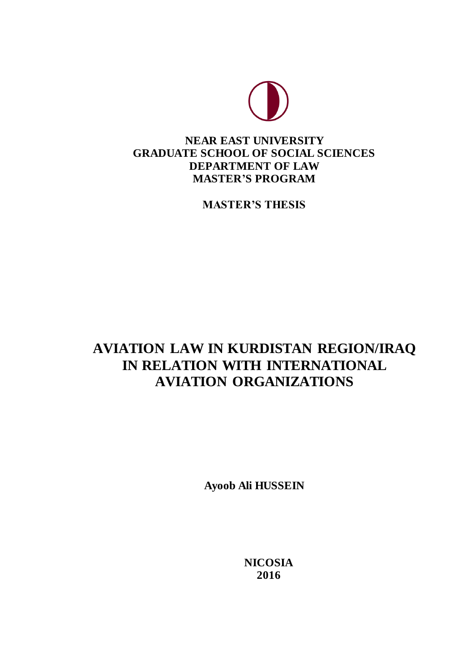

# **NEAR EAST UNIVERSITY GRADUATE SCHOOL OF SOCIAL SCIENCES DEPARTMENT OF LAW MASTER'S PROGRAM**

**MASTER'S THESIS**

# **AVIATION LAW IN KURDISTAN REGION/IRAQ IN RELATION WITH INTERNATIONAL AVIATION ORGANIZATIONS**

**Ayoob Ali HUSSEIN**

**NICOSIA 2016**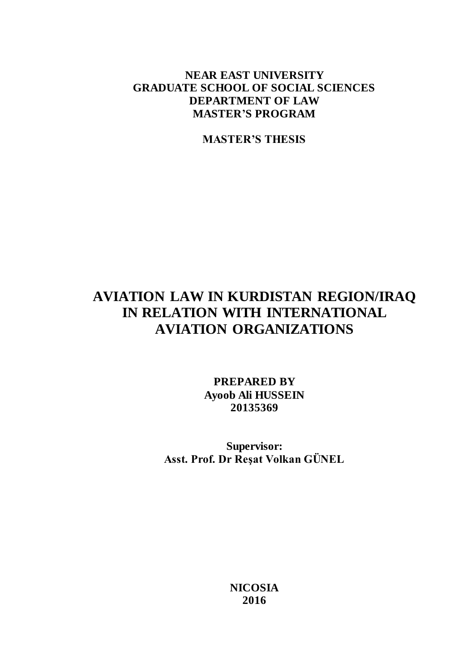# **NEAR EAST UNIVERSITY GRADUATE SCHOOL OF SOCIAL SCIENCES DEPARTMENT OF LAW MASTER'S PROGRAM**

**MASTER'S THESIS**

# **AVIATION LAW IN KURDISTAN REGION/IRAQ IN RELATION WITH INTERNATIONAL AVIATION ORGANIZATIONS**

**PREPARED BY Ayoob Ali HUSSEIN 20135369**

**Supervisor: Asst. Prof. Dr Reşat Volkan GÜNEL**

> **NICOSIA 2016**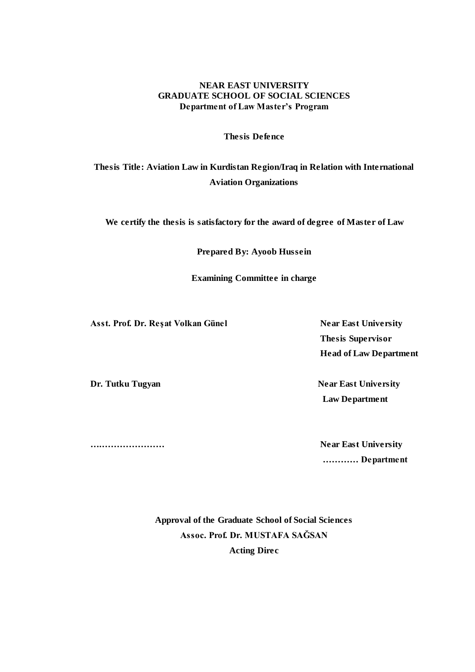## **NEAR EAST UNIVERSITY GRADUATE SCHOOL OF SOCIAL SCIENCES Department of Law Master's Program**

**Thesis Defence**

## **Thesis Title: Aviation Law in Kurdistan Region/Iraq in Relation with International Aviation Organizations**

**We certify the thesis is satisfactory for the award of degree of Master of Law**

**Prepared By: Ayoob Hussein**

**Examining Committee in charge** 

Asst. Prof. Dr. Reşat Volkan Günel Near East University

 **Thesis Supervisor Head of Law Department**

**Dr. Tutku Tugyan Near East University Law Department** 

**….………………… Near East University ………… Department**

> **Approval of the Graduate School of Social Sciences Assoc. Prof. Dr. MUSTAFA SAĞSAN Acting Direc**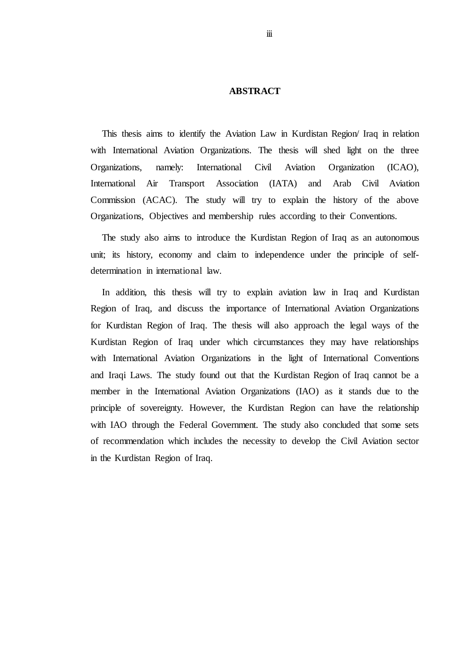#### **ABSTRACT**

This thesis aims to identify the Aviation Law in Kurdistan Region/ Iraq in relation with International Aviation Organizations. The thesis will shed light on the three Organizations, namely: International Civil Aviation Organization (ICAO), International Air Transport Association (IATA) and Arab Civil Aviation Commission (ACAC). The study will try to explain the history of the above Organizations, Objectives and membership rules according to their Conventions.

The study also aims to introduce the Kurdistan Region of Iraq as an autonomous unit; its history, economy and claim to independence under the principle of selfdetermination in international law.

In addition, this thesis will try to explain aviation law in Iraq and Kurdistan Region of Iraq, and discuss the importance of International Aviation Organizations for Kurdistan Region of Iraq. The thesis will also approach the legal ways of the Kurdistan Region of Iraq under which circumstances they may have relationships with International Aviation Organizations in the light of International Conventions and Iraqi Laws. The study found out that the Kurdistan Region of Iraq cannot be a member in the International Aviation Organizations (IAO) as it stands due to the principle of sovereignty. However, the Kurdistan Region can have the relationship with IAO through the Federal Government. The study also concluded that some sets of recommendation which includes the necessity to develop the Civil Aviation sector in the Kurdistan Region of Iraq.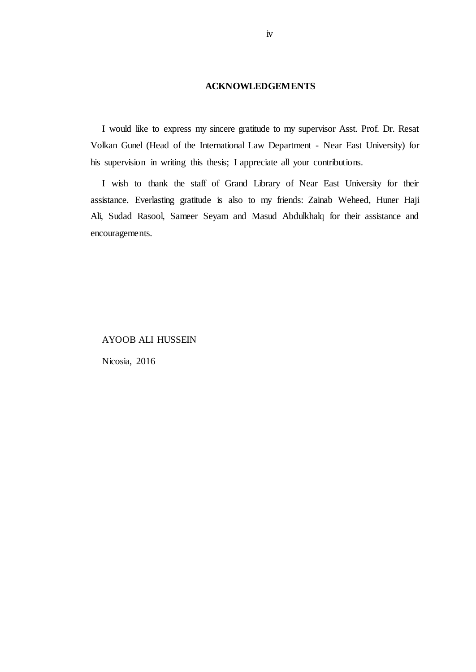#### **ACKNOWLEDGEMENTS**

I would like to express my sincere gratitude to my supervisor Asst. Prof. Dr. Resat Volkan Gunel (Head of the International Law Department - Near East University) for his supervision in writing this thesis; I appreciate all your contributions.

I wish to thank the staff of Grand Library of Near East University for their assistance. Everlasting gratitude is also to my friends: Zainab Weheed, Huner Haji Ali, Sudad Rasool, Sameer Seyam and Masud Abdulkhalq for their assistance and encouragements.

## AYOOB ALI HUSSEIN

Nicosia, 2016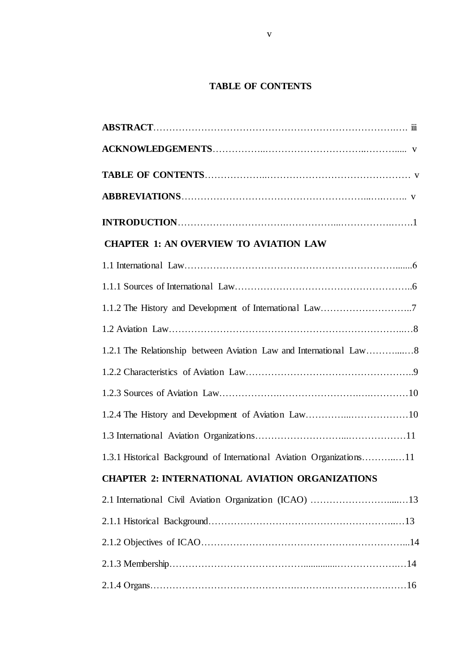## **TABLE OF CONTENTS**

| <b>CHAPTER 1: AN OVERVIEW TO AVIATION LAW</b>                         |  |
|-----------------------------------------------------------------------|--|
|                                                                       |  |
|                                                                       |  |
|                                                                       |  |
|                                                                       |  |
|                                                                       |  |
|                                                                       |  |
|                                                                       |  |
|                                                                       |  |
|                                                                       |  |
| 1.3.1 Historical Background of International Aviation Organizations11 |  |
| <b>CHAPTER 2: INTERNATIONAL AVIATION ORGANIZATIONS</b>                |  |
|                                                                       |  |
|                                                                       |  |
|                                                                       |  |
|                                                                       |  |
|                                                                       |  |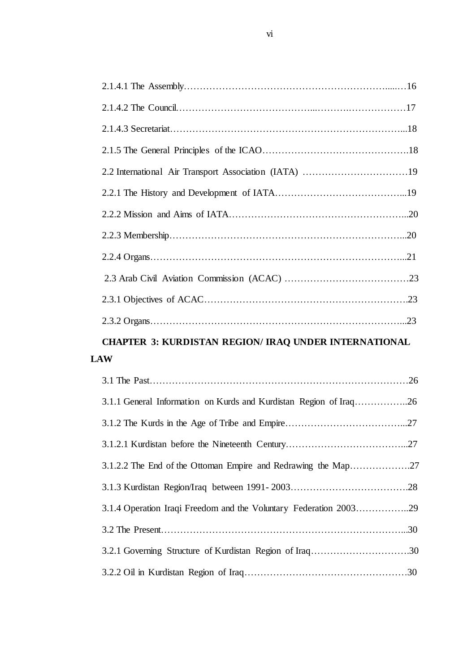# **CHAPTER 3: KURDISTAN REGION/ IRAQ UNDER INTERNATIONAL LAW**

| 3.1.2.2 The End of the Ottoman Empire and Redrawing the Map27     |  |
|-------------------------------------------------------------------|--|
|                                                                   |  |
| 3.1.4 Operation Iraqi Freedom and the Voluntary Federation 200329 |  |
|                                                                   |  |
| 3.2.1 Governing Structure of Kurdistan Region of Iraq30           |  |
|                                                                   |  |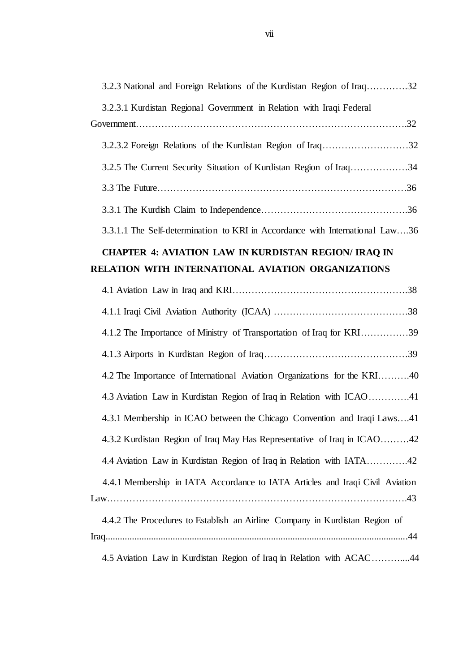| 3.2.3 National and Foreign Relations of the Kurdistan Region of Iraq32        |
|-------------------------------------------------------------------------------|
| 3.2.3.1 Kurdistan Regional Government in Relation with Iraqi Federal          |
|                                                                               |
| 3.2.5 The Current Security Situation of Kurdistan Region of Iraq34            |
|                                                                               |
|                                                                               |
| 3.3.1.1 The Self-determination to KRI in Accordance with International Law36  |
| <b>CHAPTER 4: AVIATION LAW IN KURDISTAN REGION/IRAQ IN</b>                    |
| RELATION WITH INTERNATIONAL AVIATION ORGANIZATIONS                            |
|                                                                               |
|                                                                               |
| 4.1.2 The Importance of Ministry of Transportation of Iraq for KRI39          |
|                                                                               |
| 4.2 The Importance of International Aviation Organizations for the KRI40      |
| 4.3 Aviation Law in Kurdistan Region of Iraq in Relation with ICAO41          |
| 4.3.1 Membership in ICAO between the Chicago Convention and Iraqi Laws41      |
| 4.3.2 Kurdistan Region of Iraq May Has Representative of Iraq in ICAO42       |
| 4.4 Aviation Law in Kurdistan Region of Iraq in Relation with IATA42          |
| 4.4.1 Membership in IATA Accordance to IATA Articles and Iraqi Civil Aviation |
| 4.4.2 The Procedures to Establish an Airline Company in Kurdistan Region of   |
| 4.5 Aviation Law in Kurdistan Region of Iraq in Relation with ACAC44          |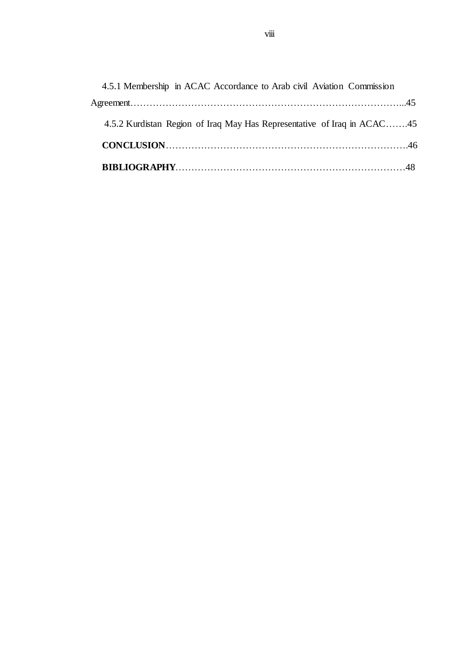| 4.5.1 Membership in ACAC Accordance to Arab civil Aviation Commission   |  |
|-------------------------------------------------------------------------|--|
|                                                                         |  |
| 4.5.2 Kurdistan Region of Iraq May Has Representative of Iraq in ACAC45 |  |
|                                                                         |  |
|                                                                         |  |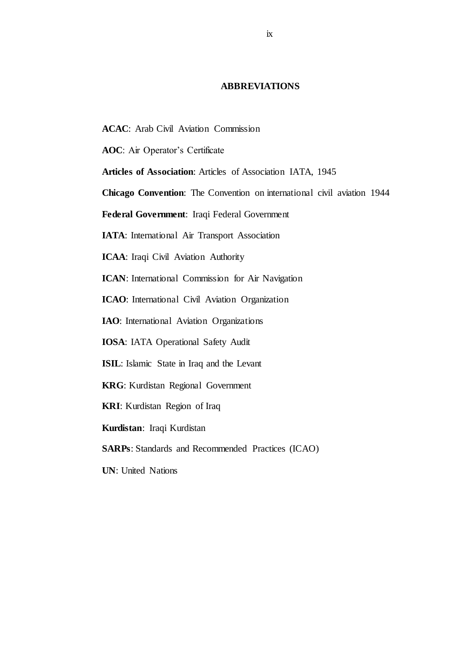#### **ABBREVIATIONS**

- **ACAC**: Arab Civil Aviation Commission
- **AOC**: Air Operator's Certificate
- **Articles of Association**: Articles of Association IATA, 1945
- **Chicago Convention**: The Convention on international civil aviation 1944

**Federal Government**: Iraqi Federal Government

**IATA**: International Air Transport Association

**ICAA**: Iraqi Civil Aviation Authority

**ICAN**: International Commission for Air Navigation

**ICAO**: International Civil Aviation Organization

**IAO**: International Aviation Organizations

**IOSA**: IATA Operational Safety Audit

**ISIL**: Islamic State in Iraq and the Levant

**KRG**: Kurdistan Regional Government

**KRI**: Kurdistan Region of Iraq

**Kurdistan**: Iraqi Kurdistan

**SARPs**: Standards and Recommended Practices (ICAO)

**UN**: United Nations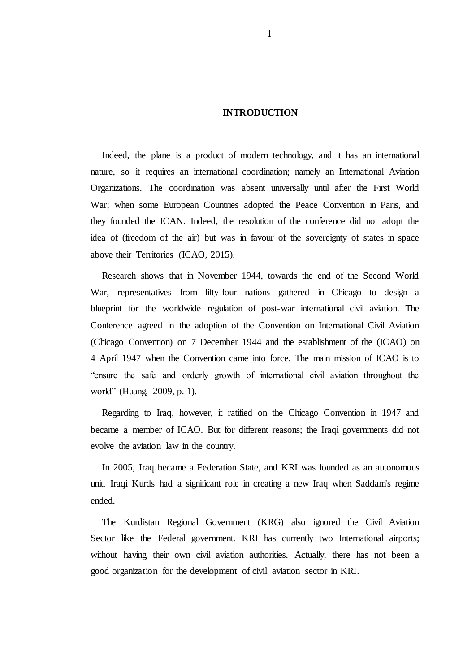#### **INTRODUCTION**

Indeed, the plane is a product of modern technology, and it has an international nature, so it requires an international coordination; namely an International Aviation Organizations. The coordination was absent universally until after the First World War; when some European Countries adopted the Peace Convention in Paris, and they founded the ICAN. Indeed, the resolution of the conference did not adopt the idea of (freedom of the air) but was in favour of the sovereignty of states in space above their Territories (ICAO, 2015).

Research shows that in November 1944, towards the end of the Second World War, representatives from fifty-four nations gathered in Chicago to design a blueprint for the worldwide regulation of post-war international civil aviation. The Conference agreed in the adoption of the Convention on International Civil Aviation (Chicago Convention) on 7 December 1944 and the establishment of the (ICAO) on 4 April 1947 when the Convention came into force. The main mission of ICAO is to "ensure the safe and orderly growth of international civil aviation throughout the world" (Huang, 2009, p. 1).

Regarding to Iraq, however, it ratified on the Chicago Convention in 1947 and became a member of ICAO. But for different reasons; the Iraqi governments did not evolve the aviation law in the country.

In 2005, Iraq became a Federation State, and KRI was founded as an autonomous unit. Iraqi Kurds had a significant role in creating a new Iraq when Saddam's regime ended.

The Kurdistan Regional Government (KRG) also ignored the Civil Aviation Sector like the Federal government. KRI has currently two International airports; without having their own civil aviation authorities. Actually, there has not been a good organization for the development of civil aviation sector in KRI.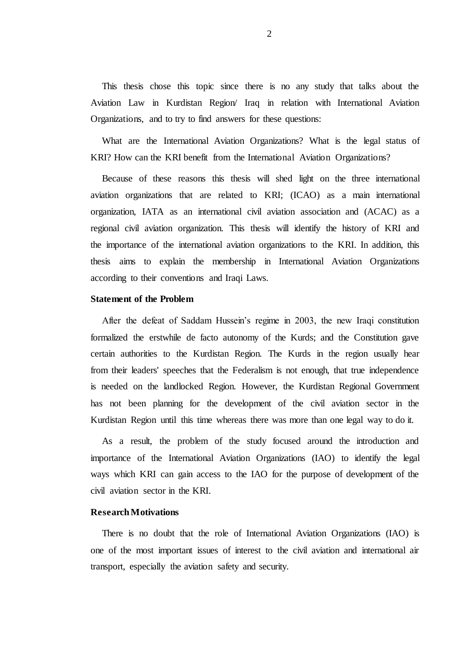This thesis chose this topic since there is no any study that talks about the Aviation Law in Kurdistan Region/ Iraq in relation with International Aviation Organizations, and to try to find answers for these questions:

What are the International Aviation Organizations? What is the legal status of KRI? How can the KRI benefit from the International Aviation Organizations?

Because of these reasons this thesis will shed light on the three international aviation organizations that are related to KRI; (ICAO) as a main international organization, IATA as an international civil aviation association and (ACAC) as a regional civil aviation organization. This thesis will identify the history of KRI and the importance of the international aviation organizations to the KRI. In addition, this thesis aims to explain the membership in International Aviation Organizations according to their conventions and Iraqi Laws.

#### **Statement of the Problem**

After the defeat of Saddam Hussein"s regime in 2003, the new Iraqi constitution formalized the erstwhile de facto autonomy of the Kurds; and the Constitution gave certain authorities to the Kurdistan Region. The Kurds in the region usually hear from their leaders' speeches that the Federalism is not enough, that true independence is needed on the landlocked Region. However, the Kurdistan Regional Government has not been planning for the development of the civil aviation sector in the Kurdistan Region until this time whereas there was more than one legal way to do it.

As a result, the problem of the study focused around the introduction and importance of the International Aviation Organizations (IAO) to identify the legal ways which KRI can gain access to the IAO for the purpose of development of the civil aviation sector in the KRI.

#### **Research Motivations**

There is no doubt that the role of International Aviation Organizations (IAO) is one of the most important issues of interest to the civil aviation and international air transport, especially the aviation safety and security.

2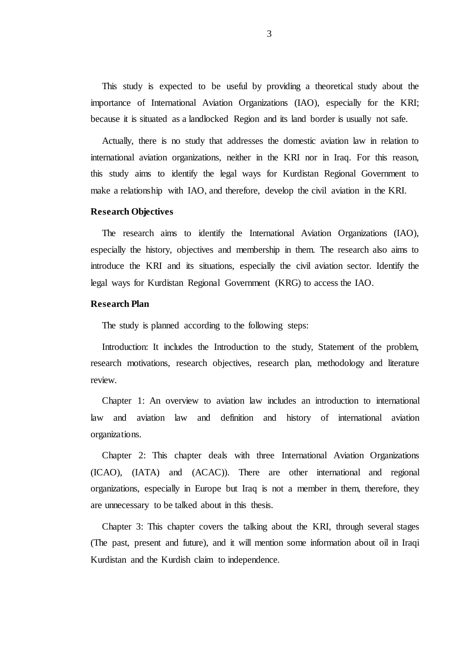This study is expected to be useful by providing a theoretical study about the importance of International Aviation Organizations (IAO), especially for the KRI; because it is situated as a landlocked Region and its land border is usually not safe.

Actually, there is no study that addresses the domestic aviation law in relation to international aviation organizations, neither in the KRI nor in Iraq. For this reason, this study aims to identify the legal ways for Kurdistan Regional Government to make a relationship with IAO, and therefore, develop the civil aviation in the KRI.

#### **Research Objectives**

The research aims to identify the International Aviation Organizations (IAO), especially the history, objectives and membership in them. The research also aims to introduce the KRI and its situations, especially the civil aviation sector. Identify the legal ways for Kurdistan Regional Government (KRG) to access the IAO.

#### **Research Plan**

The study is planned according to the following steps:

Introduction: It includes the Introduction to the study, Statement of the problem, research motivations, research objectives, research plan, methodology and literature review.

Chapter 1: An overview to aviation law includes an introduction to international law and aviation law and definition and history of international aviation organizations.

Chapter 2: This chapter deals with three International Aviation Organizations (ICAO), (IATA) and (ACAC)). There are other international and regional organizations, especially in Europe but Iraq is not a member in them, therefore, they are unnecessary to be talked about in this thesis.

Chapter 3: This chapter covers the talking about the KRI, through several stages (The past, present and future), and it will mention some information about oil in Iraqi Kurdistan and the Kurdish claim to independence.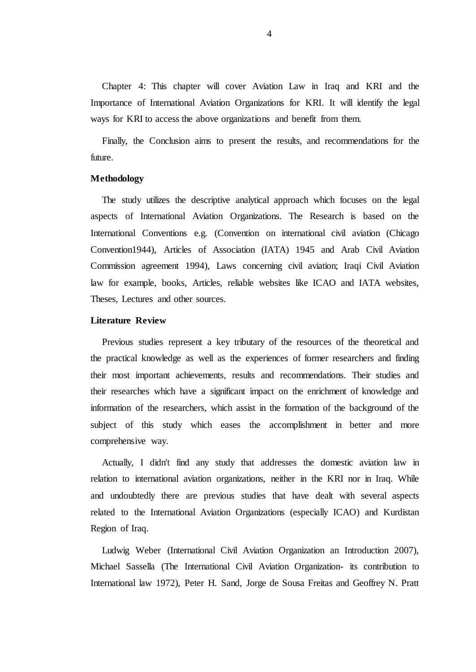Chapter 4: This chapter will cover Aviation Law in Iraq and KRI and the Importance of International Aviation Organizations for KRI. It will identify the legal ways for KRI to access the above organizations and benefit from them.

Finally, the Conclusion aims to present the results, and recommendations for the future.

#### **Methodology**

The study utilizes the descriptive analytical approach which focuses on the legal aspects of International Aviation Organizations. The Research is based on the International Conventions e.g. (Convention on international civil aviation (Chicago Convention1944), Articles of Association (IATA) 1945 and Arab Civil Aviation Commission agreement 1994), Laws concerning civil aviation; Iraqi Civil Aviation law for example, books, Articles, reliable websites like ICAO and IATA websites, Theses, Lectures and other sources.

#### **Literature Review**

Previous studies represent a key tributary of the resources of the theoretical and the practical knowledge as well as the experiences of former researchers and finding their most important achievements, results and recommendations. Their studies and their researches which have a significant impact on the enrichment of knowledge and information of the researchers, which assist in the formation of the background of the subject of this study which eases the accomplishment in better and more comprehensive way.

Actually, I didn't find any study that addresses the domestic aviation law in relation to international aviation organizations, neither in the KRI nor in Iraq. While and undoubtedly there are previous studies that have dealt with several aspects related to the International Aviation Organizations (especially ICAO) and Kurdistan Region of Iraq.

Ludwig Weber (International Civil Aviation Organization an Introduction 2007), Michael Sassella (The International Civil Aviation Organization- its contribution to International law 1972), Peter H. Sand, Jorge de Sousa Freitas and Geoffrey N. Pratt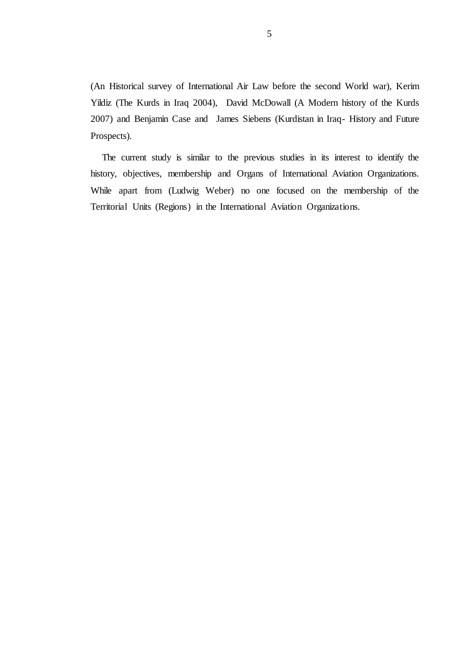(An Historical survey of International Air Law before the second World war), Kerim Yildiz (The Kurds in Iraq 2004), David McDowall (A Modern history of the Kurds 2007) and Benjamin Case and James Siebens (Kurdistan in Iraq- History and Future Prospects).

The current study is similar to the previous studies in its interest to identify the history, objectives, membership and Organs of International Aviation Organizations. While apart from (Ludwig Weber) no one focused on the membership of the Territorial Units (Regions) in the International Aviation Organizations.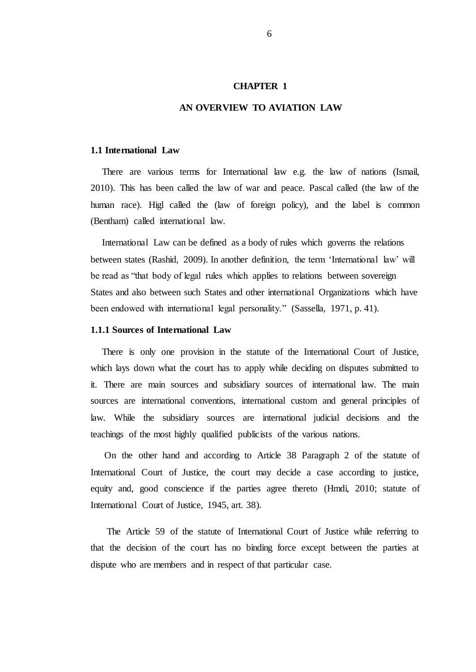#### **CHAPTER 1**

## **AN OVERVIEW TO AVIATION LAW**

#### **1.1 International Law**

There are various terms for International law e.g. the law of nations (Ismail, 2010). This has been called the law of war and peace. Pascal called (the law of the human race). Higl called the (law of foreign policy), and the label is common (Bentham) called international law.

International Law can be defined as a body of rules which governs the relations between states (Rashid, 2009). In another definition, the term "International law" will be read as "that body of legal rules which applies to relations between sovereign States and also between such States and other international Organizations which have been endowed with international legal personality." (Sassella, 1971, p. 41).

#### **1.1.1 Sources of International Law**

There is only one provision in the statute of the International Court of Justice, which lays down what the court has to apply while deciding on disputes submitted to it. There are main sources and subsidiary sources of international law. The main sources are international conventions, international custom and general principles of law. While the subsidiary sources are international judicial decisions and the teachings of the most highly qualified publicists of the various nations.

On the other hand and according to Article 38 Paragraph 2 of the statute of International Court of Justice, the court may decide a case according to justice, equity and, good conscience if the parties agree thereto (Hmdi, 2010; statute of International Court of Justice, 1945, art. 38).

 The Article 59 of the statute of International Court of Justice while referring to that the decision of the court has no binding force except between the parties at dispute who are members and in respect of that particular case.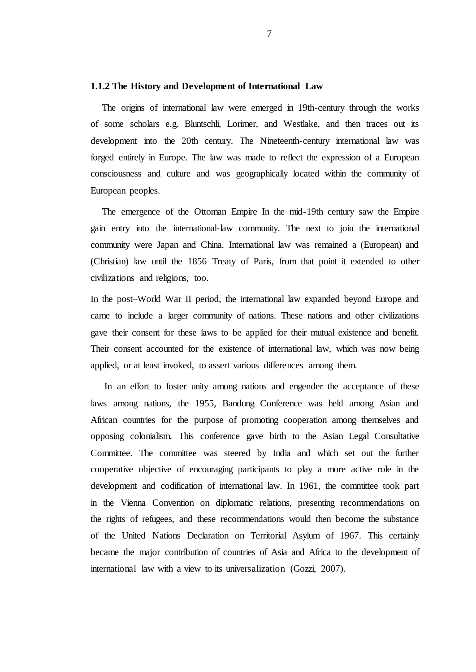#### **1.1.2 The History and Development of International Law**

The origins of international law were emerged in 19th-century through the works of some scholars e.g. Bluntschli, Lorimer, and Westlake, and then traces out its development into the 20th century. The Nineteenth-century international law was forged entirely in Europe. The law was made to reflect the expression of a European consciousness and culture and was geographically located within the community of European peoples.

The emergence of the Ottoman Empire In the mid-19th century saw the Empire gain entry into the international-law community. The next to join the international community were Japan and China. International law was remained a (European) and (Christian) law until the 1856 Treaty of Paris, from that point it extended to other civilizations and religions, too.

In the post–World War II period, the international law expanded beyond Europe and came to include a larger community of nations. These nations and other civilizations gave their consent for these laws to be applied for their mutual existence and benefit. Their consent accounted for the existence of international law, which was now being applied, or at least invoked, to assert various differences among them.

In an effort to foster unity among nations and engender the acceptance of these laws among nations, the 1955, Bandung Conference was held among Asian and African countries for the purpose of promoting cooperation among themselves and opposing colonialism. This conference gave birth to the Asian Legal Consultative Committee. The committee was steered by India and which set out the further cooperative objective of encouraging participants to play a more active role in the development and codification of international law. In 1961, the committee took part in the Vienna Convention on diplomatic relations, presenting recommendations on the rights of refugees, and these recommendations would then become the substance of the United Nations Declaration on Territorial Asylum of 1967. This certainly became the major contribution of countries of Asia and Africa to the development of international law with a view to its universalization (Gozzi, 2007).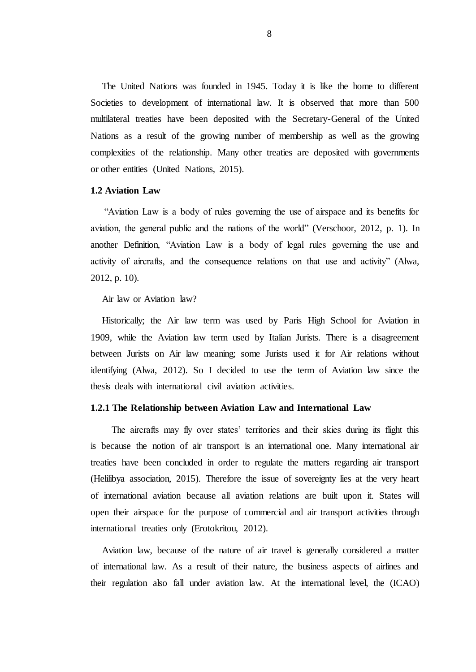The United Nations was founded in 1945. Today it is like the home to different Societies to development of international law. It is observed that more than 500 multilateral treaties have been deposited with the Secretary-General of the United Nations as a result of the growing number of membership as well as the growing complexities of the relationship. Many other treaties are deposited with governments or other entities (United Nations, 2015).

#### **1.2 Aviation Law**

"Aviation Law is a body of rules governing the use of airspace and its benefits for aviation, the general public and the nations of the world" (Verschoor, 2012, p. 1). In another Definition, "Aviation Law is a body of legal rules governing the use and activity of aircrafts, and the consequence relations on that use and activity" (Alwa, 2012, p. 10).

Air law or Aviation law?

Historically; the Air law term was used by Paris High School for Aviation in 1909, while the Aviation law term used by Italian Jurists. There is a disagreement between Jurists on Air law meaning; some Jurists used it for Air relations without identifying (Alwa, 2012). So I decided to use the term of Aviation law since the thesis deals with international civil aviation activities.

#### **1.2.1 The Relationship between Aviation Law and International Law**

The aircrafts may fly over states' territories and their skies during its flight this is because the notion of air transport is an international one. Many international air treaties have been concluded in order to regulate the matters regarding air transport (Helilibya association, 2015). Therefore the issue of sovereignty lies at the very heart of international aviation because all aviation relations are built upon it. States will open their airspace for the purpose of commercial and air transport activities through international treaties only (Erotokritou, 2012).

Aviation law, because of the nature of air travel is generally considered a matter of international law. As a result of their nature, the business aspects of airlines and their regulation also fall under aviation law. At the international level, the (ICAO)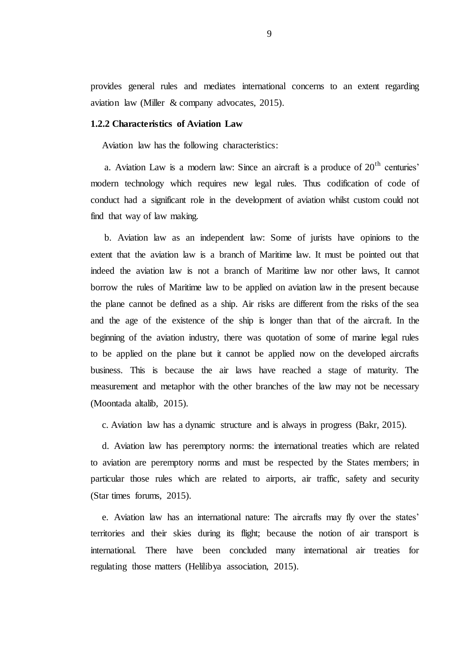provides general rules and mediates international concerns to an extent regarding aviation law (Miller & company advocates, 2015).

#### **1.2.2 Characteristics of Aviation Law**

Aviation law has the following characteristics:

a. Aviation Law is a modern law: Since an aircraft is a produce of  $20<sup>th</sup>$  centuries' modern technology which requires new legal rules. Thus codification of code of conduct had a significant role in the development of aviation whilst custom could not find that way of law making.

b. Aviation law as an independent law: Some of jurists have opinions to the extent that the aviation law is a branch of Maritime law. It must be pointed out that indeed the aviation law is not a branch of Maritime law nor other laws, It cannot borrow the rules of Maritime law to be applied on aviation law in the present because the plane cannot be defined as a ship. Air risks are different from the risks of the sea and the age of the existence of the ship is longer than that of the aircraft. In the beginning of the aviation industry, there was quotation of some of marine legal rules to be applied on the plane but it cannot be applied now on the developed aircrafts business. This is because the air laws have reached a stage of maturity. The measurement and metaphor with the other branches of the law may not be necessary (Moontada altalib, 2015).

c. Aviation law has a dynamic structure and is always in progress (Bakr, 2015).

d. Aviation law has peremptory norms: the international treaties which are related to aviation are peremptory norms and must be respected by the States members; in particular those rules which are related to airports, air traffic, safety and security (Star times forums, 2015).

e. Aviation law has an international nature: The aircrafts may fly over the states" territories and their skies during its flight; because the notion of air transport is international. There have been concluded many international air treaties for regulating those matters (Helilibya association, 2015).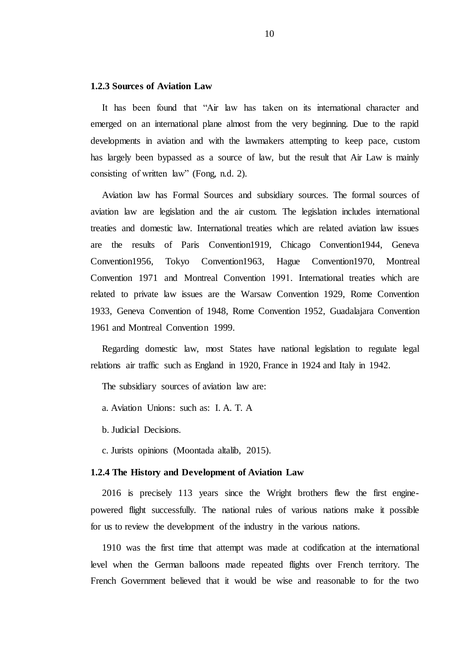#### **1.2.3 Sources of Aviation Law**

It has been found that "Air law has taken on its international character and emerged on an international plane almost from the very beginning. Due to the rapid developments in aviation and with the lawmakers attempting to keep pace, custom has largely been bypassed as a source of law, but the result that Air Law is mainly consisting of written law" (Fong, n.d. 2).

Aviation law has Formal Sources and subsidiary sources. The formal sources of aviation law are legislation and the air custom. The legislation includes international treaties and domestic law. International treaties which are related aviation law issues are the results of Paris Convention1919, Chicago Convention1944, Geneva Convention1956, Tokyo Convention1963, Hague Convention1970, Montreal Convention 1971 and Montreal Convention 1991. International treaties which are related to private law issues are the Warsaw Convention 1929, Rome Convention 1933, Geneva Convention of 1948, Rome Convention 1952, Guadalajara Convention 1961 and Montreal Convention 1999.

Regarding domestic law, most States have national legislation to regulate legal relations air traffic such as England in 1920, France in 1924 and Italy in 1942.

The subsidiary sources of aviation law are:

a. Aviation Unions: such as: I. A. T. A

b. Judicial Decisions.

c. Jurists opinions (Moontada altalib, 2015).

#### **1.2.4 The History and Development of Aviation Law**

2016 is precisely 113 years since the Wright brothers flew the first enginepowered flight successfully. The national rules of various nations make it possible for us to review the development of the industry in the various nations.

1910 was the first time that attempt was made at codification at the international level when the German balloons made repeated flights over French territory. The French Government believed that it would be wise and reasonable to for the two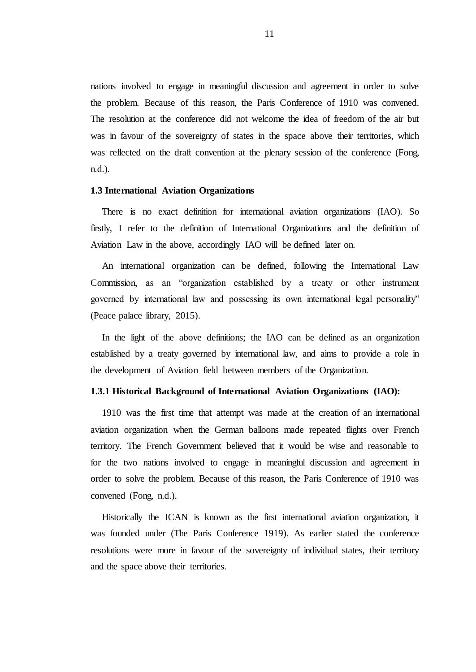nations involved to engage in meaningful discussion and agreement in order to solve the problem. Because of this reason, the Paris Conference of 1910 was convened. The resolution at the conference did not welcome the idea of freedom of the air but was in favour of the sovereignty of states in the space above their territories, which was reflected on the draft convention at the plenary session of the conference (Fong, n.d.).

#### **1.3 International Aviation Organizations**

There is no exact definition for international aviation organizations (IAO). So firstly, I refer to the definition of International Organizations and the definition of Aviation Law in the above, accordingly IAO will be defined later on.

An international organization can be defined, following the International Law Commission, as an "organization established by a treaty or other instrument governed by international law and possessing its own international legal personality" (Peace palace library, 2015).

In the light of the above definitions; the IAO can be defined as an organization established by a treaty governed by international law, and aims to provide a role in the development of Aviation field between members of the Organization.

#### **1.3.1 Historical Background of International Aviation Organizations (IAO):**

1910 was the first time that attempt was made at the creation of an international aviation organization when the German balloons made repeated flights over French territory. The French Government believed that it would be wise and reasonable to for the two nations involved to engage in meaningful discussion and agreement in order to solve the problem. Because of this reason, the Paris Conference of 1910 was convened (Fong, n.d.).

Historically the ICAN is known as the first international aviation organization, it was founded under (The Paris Conference 1919). As earlier stated the conference resolutions were more in favour of the sovereignty of individual states, their territory and the space above their territories.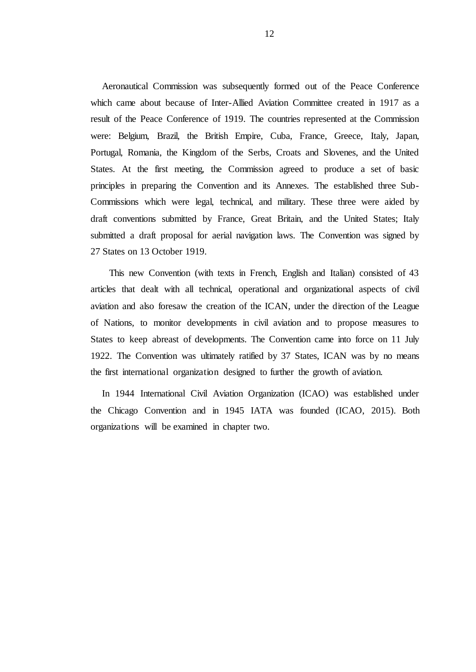Aeronautical Commission was subsequently formed out of the Peace Conference which came about because of Inter-Allied Aviation Committee created in 1917 as a result of the Peace Conference of 1919. The countries represented at the Commission were: Belgium, Brazil, the British Empire, Cuba, France, Greece, Italy, Japan, Portugal, Romania, the Kingdom of the Serbs, Croats and Slovenes, and the United States. At the first meeting, the Commission agreed to produce a set of basic principles in preparing the Convention and its Annexes. The established three Sub-Commissions which were legal, technical, and military. These three were aided by draft conventions submitted by France, Great Britain, and the United States; Italy submitted a draft proposal for aerial navigation laws. The Convention was signed by 27 States on 13 October 1919.

 This new Convention (with texts in French, English and Italian) consisted of 43 articles that dealt with all technical, operational and organizational aspects of civil aviation and also foresaw the creation of the ICAN, under the direction of the League of Nations, to monitor developments in civil aviation and to propose measures to States to keep abreast of developments. The Convention came into force on 11 July 1922. The Convention was ultimately ratified by 37 States, ICAN was by no means the first international organization designed to further the growth of aviation.

In 1944 International Civil Aviation Organization (ICAO) was established under the Chicago Convention and in 1945 IATA was founded (ICAO, 2015). Both organizations will be examined in chapter two.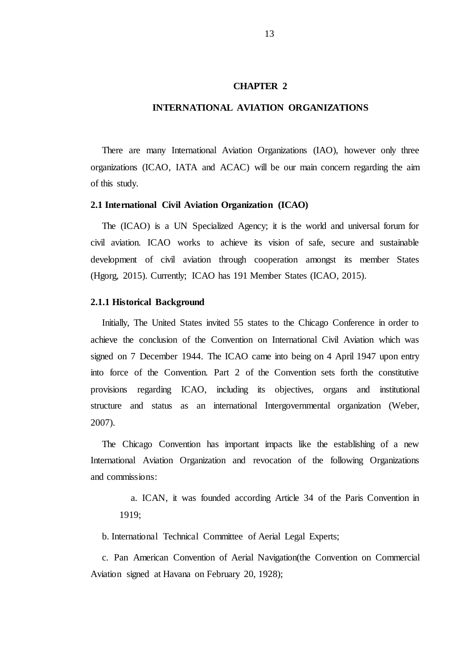#### **CHAPTER 2**

## **INTERNATIONAL AVIATION ORGANIZATIONS**

There are many International Aviation Organizations (IAO), however only three organizations (ICAO, IATA and ACAC) will be our main concern regarding the aim of this study.

#### **2.1 International Civil Aviation Organization (ICAO)**

The (ICAO) is a UN Specialized Agency; it is the world and universal forum for civil aviation. ICAO works to achieve its vision of safe, secure and sustainable development of civil aviation through cooperation amongst its member States (Hgorg, 2015). Currently; ICAO has 191 Member States (ICAO, 2015).

#### **2.1.1 Historical Background**

Initially, The United States invited 55 states to the Chicago Conference in order to achieve the conclusion of the Convention on International Civil Aviation which was signed on 7 December 1944. The ICAO came into being on 4 April 1947 upon entry into force of the Convention. Part 2 of the Convention sets forth the constitutive provisions regarding ICAO, including its objectives, organs and institutional structure and status as an international Intergovernmental organization (Weber, 2007).

The Chicago Convention has important impacts like the establishing of a new International Aviation Organization and revocation of the following Organizations and commissions:

a. ICAN, it was founded according Article 34 of the Paris Convention in 1919;

b. International Technical Committee of Aerial Legal Experts;

c. Pan American Convention of Aerial Navigation(the Convention on Commercial Aviation signed at Havana on February 20, 1928);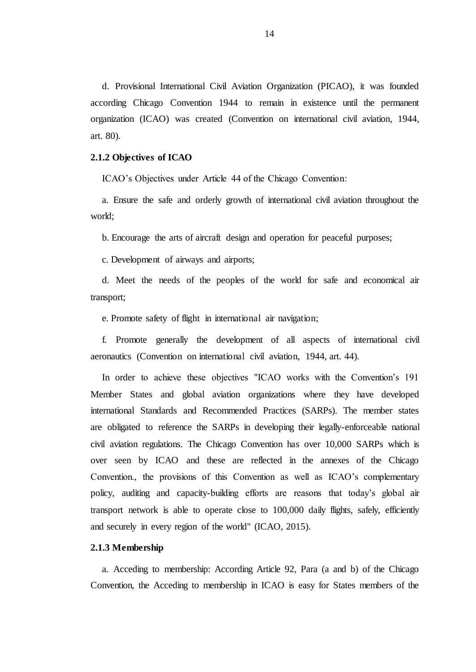d. Provisional International Civil Aviation Organization (PICAO), it was founded according Chicago Convention 1944 to remain in existence until the permanent organization (ICAO) was created (Convention on international civil aviation, 1944, art. 80).

#### **2.1.2 Objectives of ICAO**

ICAO"s Objectives under Article 44 of the Chicago Convention:

a. Ensure the safe and orderly growth of international civil aviation throughout the world;

b. Encourage the arts of aircraft design and operation for peaceful purposes;

c. Development of airways and airports;

d. Meet the needs of the peoples of the world for safe and economical air transport;

e. Promote safety of flight in international air navigation;

f. Promote generally the development of all aspects of international civil aeronautics (Convention on international civil aviation, 1944, art. 44).

In order to achieve these objectives "ICAO works with the Convention's 191 Member States and global aviation organizations where they have developed international Standards and Recommended Practices (SARPs). The member states are obligated to reference the SARPs in developing their legally-enforceable national civil aviation regulations. The Chicago Convention has over 10,000 SARPs which is over seen by ICAO and these are reflected in the annexes of the Chicago Convention., the provisions of this Convention as well as ICAO"s complementary policy, auditing and capacity-building efforts are reasons that today"s global air transport network is able to operate close to 100,000 daily flights, safely, efficiently and securely in every region of the world'' (ICAO, 2015).

#### **2.1.3 Membership**

a. Acceding to membership: According Article 92, Para (a and b) of the Chicago Convention, the Acceding to membership in ICAO is easy for States members of the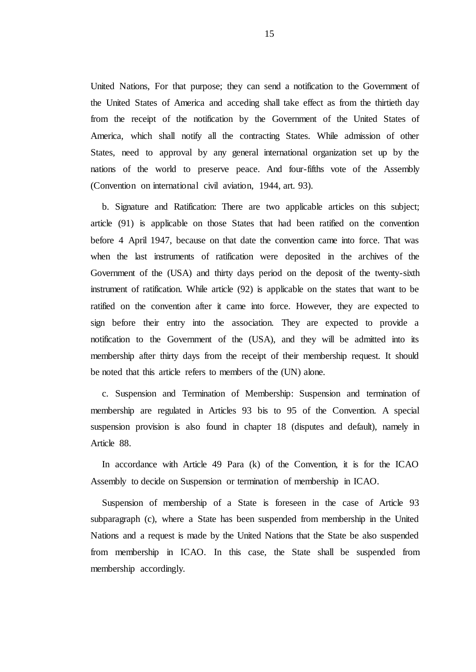United Nations, For that purpose; they can send a notification to the Government of the United States of America and acceding shall take effect as from the thirtieth day from the receipt of the notification by the Government of the United States of America, which shall notify all the contracting States. While admission of other States, need to approval by any general international organization set up by the nations of the world to preserve peace. And four-fifths vote of the Assembly (Convention on international civil aviation, 1944, art. 93).

b. Signature and Ratification: There are two applicable articles on this subject; article (91) is applicable on those States that had been ratified on the convention before 4 April 1947, because on that date the convention came into force. That was when the last instruments of ratification were deposited in the archives of the Government of the (USA) and thirty days period on the deposit of the twenty-sixth instrument of ratification. While article (92) is applicable on the states that want to be ratified on the convention after it came into force. However, they are expected to sign before their entry into the association. They are expected to provide a notification to the Government of the (USA), and they will be admitted into its membership after thirty days from the receipt of their membership request. It should be noted that this article refers to members of the (UN) alone.

c. Suspension and Termination of Membership: Suspension and termination of membership are regulated in Articles 93 bis to 95 of the Convention. A special suspension provision is also found in chapter 18 (disputes and default), namely in Article 88.

In accordance with Article 49 Para (k) of the Convention, it is for the ICAO Assembly to decide on Suspension or termination of membership in ICAO.

Suspension of membership of a State is foreseen in the case of Article 93 subparagraph (c), where a State has been suspended from membership in the United Nations and a request is made by the United Nations that the State be also suspended from membership in ICAO. In this case, the State shall be suspended from membership accordingly.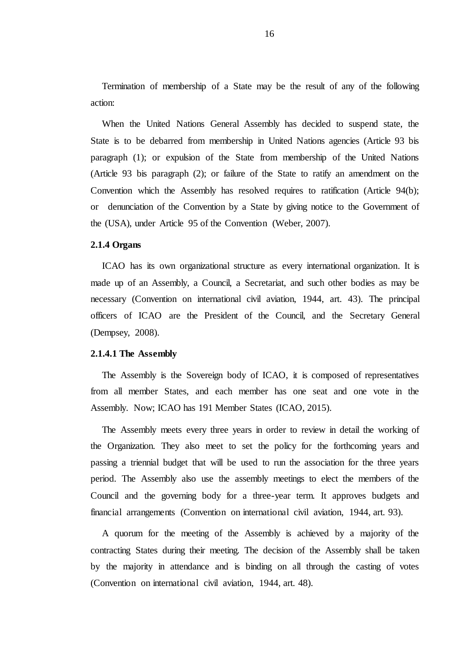Termination of membership of a State may be the result of any of the following action:

When the United Nations General Assembly has decided to suspend state, the State is to be debarred from membership in United Nations agencies (Article 93 bis paragraph (1); or expulsion of the State from membership of the United Nations (Article 93 bis paragraph (2); or failure of the State to ratify an amendment on the Convention which the Assembly has resolved requires to ratification (Article 94(b); or denunciation of the Convention by a State by giving notice to the Government of the (USA), under Article 95 of the Convention (Weber, 2007).

#### **2.1.4 Organs**

ICAO has its own organizational structure as every international organization. It is made up of an Assembly, a Council, a Secretariat, and such other bodies as may be necessary (Convention on international civil aviation, 1944, art. 43). The principal officers of ICAO are the President of the Council, and the Secretary General (Dempsey, 2008).

#### **2.1.4.1 The Assembly**

The Assembly is the Sovereign body of ICAO, it is composed of representatives from all member States, and each member has one seat and one vote in the Assembly. Now; ICAO has 191 Member States (ICAO, 2015).

The Assembly meets every three years in order to review in detail the working of the Organization. They also meet to set the policy for the forthcoming years and passing a triennial budget that will be used to run the association for the three years period. The Assembly also use the assembly meetings to elect the members of the Council and the governing body for a three-year term. It approves budgets and financial arrangements (Convention on international civil aviation, 1944, art. 93).

A quorum for the meeting of the Assembly is achieved by a majority of the contracting States during their meeting. The decision of the Assembly shall be taken by the majority in attendance and is binding on all through the casting of votes (Convention on international civil aviation, 1944, art. 48).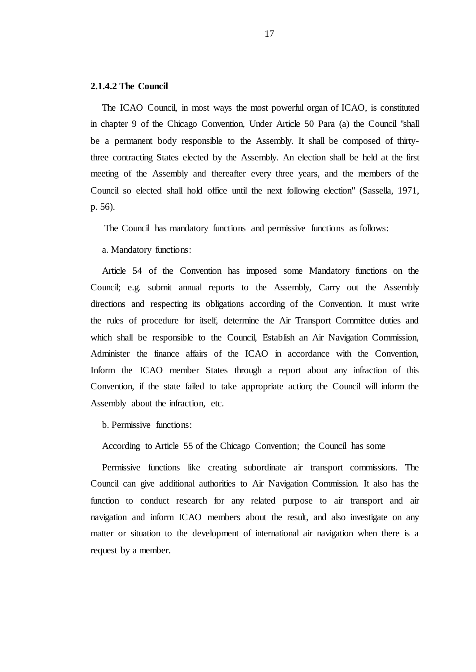#### **2.1.4.2 The Council**

The ICAO Council, in most ways the most powerful organ of ICAO, is constituted in chapter 9 of the Chicago Convention, Under Article 50 Para (a) the Council "shall be a permanent body responsible to the Assembly. It shall be composed of thirtythree contracting States elected by the Assembly. An election shall be held at the first meeting of the Assembly and thereafter every three years, and the members of the Council so elected shall hold office until the next following election" (Sassella, 1971, p. 56).

The Council has mandatory functions and permissive functions as follows:

a. Mandatory functions:

Article 54 of the Convention has imposed some Mandatory functions on the Council; e.g. submit annual reports to the Assembly, Carry out the Assembly directions and respecting its obligations according of the Convention. It must write the rules of procedure for itself, determine the Air Transport Committee duties and which shall be responsible to the Council, Establish an Air Navigation Commission, Administer the finance affairs of the ICAO in accordance with the Convention, Inform the ICAO member States through a report about any infraction of this Convention, if the state failed to take appropriate action; the Council will inform the Assembly about the infraction, etc.

b. Permissive functions:

According to Article 55 of the Chicago Convention; the Council has some

Permissive functions like creating subordinate air transport commissions. The Council can give additional authorities to Air Navigation Commission. It also has the function to conduct research for any related purpose to air transport and air navigation and inform ICAO members about the result, and also investigate on any matter or situation to the development of international air navigation when there is a request by a member.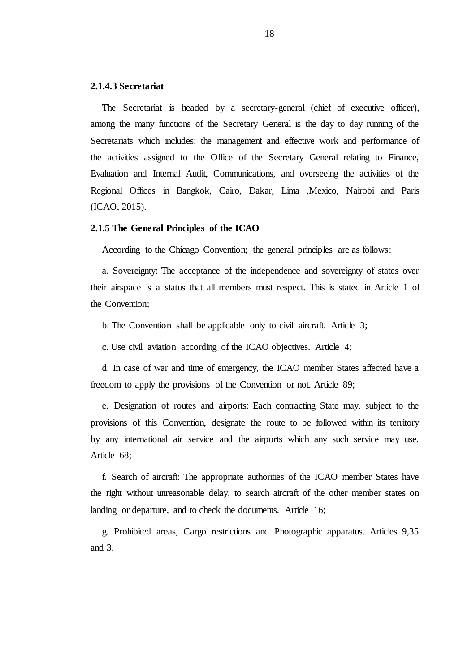#### **2.1.4.3 Secretariat**

The Secretariat is headed by a secretary-general (chief of executive officer), among the many functions of the Secretary General is the day to day running of the Secretariats which includes: the management and effective work and performance of the activities assigned to the Office of the Secretary General relating to Finance, Evaluation and Internal Audit, Communications, and overseeing the activities of the Regional Offices in Bangkok, Cairo, Dakar, Lima ,Mexico, Nairobi and Paris (ICAO, 2015).

#### **2.1.5 The General Principles of the ICAO**

According to the Chicago Convention; the general principles are as follows:

a. Sovereignty: The acceptance of the independence and sovereignty of states over their airspace is a status that all members must respect. This is stated in Article 1 of the Convention;

b. The Convention shall be applicable only to civil aircraft. Article 3;

c. Use civil aviation according of the ICAO objectives. Article 4;

d. In case of war and time of emergency, the ICAO member States affected have a freedom to apply the provisions of the Convention or not. Article 89;

e. Designation of routes and airports: Each contracting State may, subject to the provisions of this Convention, designate the route to be followed within its territory by any international air service and the airports which any such service may use. Article 68;

f. Search of aircraft: The appropriate authorities of the ICAO member States have the right without unreasonable delay, to search aircraft of the other member states on landing or departure, and to check the documents. Article 16;

g. Prohibited areas, Cargo restrictions and Photographic apparatus. Articles 9,35 and 3.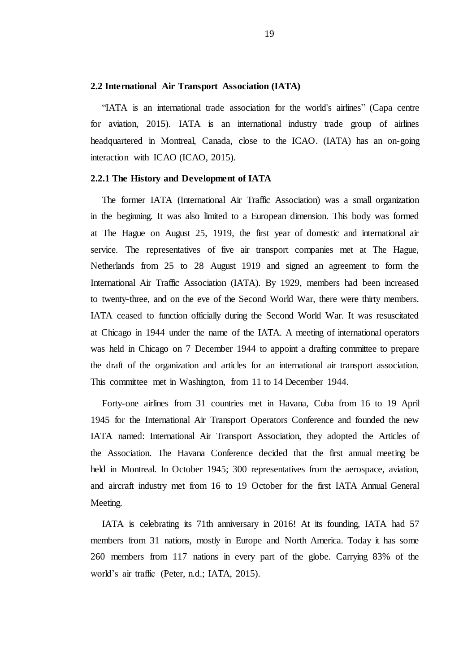#### **2.2 International Air Transport Association (IATA)**

"IATA is an international trade association for the world's airlines" (Capa centre for aviation, 2015). IATA is an international industry trade group of airlines headquartered in Montreal, Canada, close to the ICAO. (IATA) has an on-going interaction with ICAO (ICAO, 2015).

#### **2.2.1 The History and Development of IATA**

The former IATA (International Air Traffic Association) was a small organization in the beginning. It was also limited to a European dimension. This body was formed at The Hague on August 25, 1919, the first year of domestic and international air service. The representatives of five air transport companies met at The Hague, Netherlands from 25 to 28 August 1919 and signed an agreement to form the International Air Traffic Association (IATA). By 1929, members had been increased to twenty-three, and on the eve of the Second World War, there were thirty members. IATA ceased to function officially during the Second World War. It was resuscitated at Chicago in 1944 under the name of the IATA. A meeting of international operators was held in Chicago on 7 December 1944 to appoint a drafting committee to prepare the draft of the organization and articles for an international air transport association. This committee met in Washington, from 11 to 14 December 1944.

Forty-one airlines from 31 countries met in Havana, Cuba from 16 to 19 April 1945 for the International Air Transport Operators Conference and founded the new IATA named: International Air Transport Association, they adopted the Articles of the Association. The Havana Conference decided that the first annual meeting be held in Montreal. In October 1945; 300 representatives from the aerospace, aviation, and aircraft industry met from 16 to 19 October for the first IATA Annual General Meeting.

IATA is celebrating its 71th anniversary in 2016! At its founding, IATA had 57 members from 31 nations, mostly in Europe and North America. Today it has some 260 members from 117 nations in every part of the globe. Carrying 83% of the world"s air traffic (Peter, n.d.; IATA, 2015).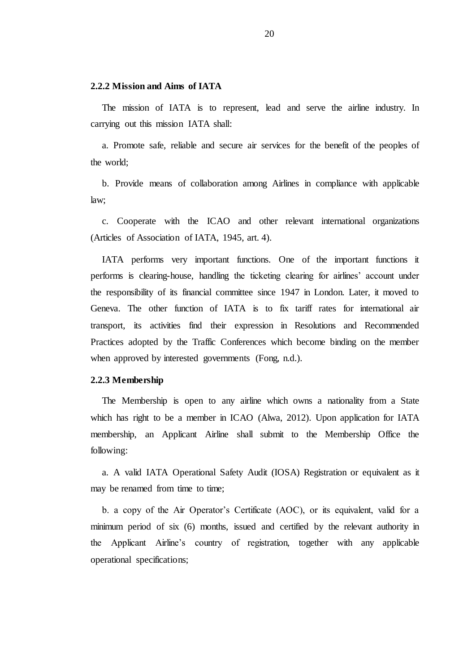#### **2.2.2 Mission and Aims of IATA**

The mission of IATA is to represent, lead and serve the airline industry. In carrying out this mission IATA shall:

a. Promote safe, reliable and secure air services for the benefit of the peoples of the world;

b. Provide means of collaboration among Airlines in compliance with applicable law;

c. Cooperate with the ICAO and other relevant international organizations (Articles of Association of IATA, 1945, art. 4).

IATA performs very important functions. One of the important functions it performs is clearing-house, handling the ticketing clearing for airlines" account under the responsibility of its financial committee since 1947 in London. Later, it moved to Geneva. The other function of IATA is to fix tariff rates for international air transport, its activities find their expression in Resolutions and Recommended Practices adopted by the Traffic Conferences which become binding on the member when approved by interested governments (Fong, n.d.).

#### **2.2.3 Membership**

The Membership is open to any airline which owns a nationality from a State which has right to be a member in ICAO (Alwa, 2012). Upon application for IATA membership, an Applicant Airline shall submit to the Membership Office the following:

a. A valid IATA Operational Safety Audit (IOSA) Registration or equivalent as it may be renamed from time to time;

b. a copy of the Air Operator"s Certificate (AOC), or its equivalent, valid for a minimum period of six (6) months, issued and certified by the relevant authority in the Applicant Airline"s country of registration, together with any applicable operational specifications;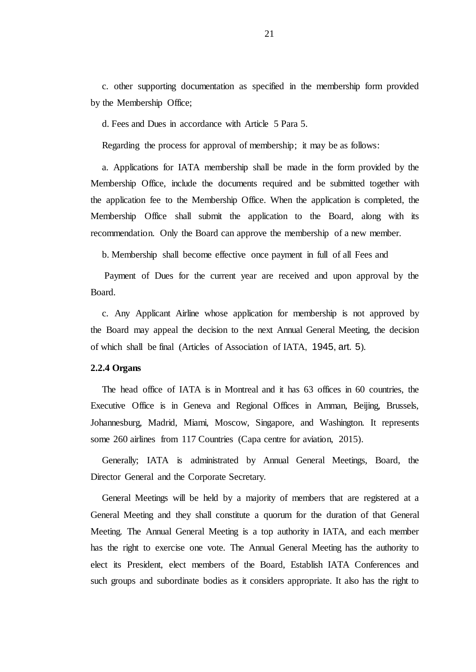c. other supporting documentation as specified in the membership form provided by the Membership Office;

d. Fees and Dues in accordance with Article 5 Para 5.

Regarding the process for approval of membership; it may be as follows:

a. Applications for IATA membership shall be made in the form provided by the Membership Office, include the documents required and be submitted together with the application fee to the Membership Office. When the application is completed, the Membership Office shall submit the application to the Board, along with its recommendation. Only the Board can approve the membership of a new member.

b. Membership shall become effective once payment in full of all Fees and

Payment of Dues for the current year are received and upon approval by the Board.

c. Any Applicant Airline whose application for membership is not approved by the Board may appeal the decision to the next Annual General Meeting, the decision of which shall be final (Articles of Association of IATA, 1945, art. 5).

#### **2.2.4 Organs**

The head office of IATA is in Montreal and it has 63 offices in 60 countries, the Executive Office is in Geneva and Regional Offices in Amman, Beijing, Brussels, Johannesburg, Madrid, Miami, Moscow, Singapore, and Washington. It represents some 260 airlines from 117 Countries (Capa centre for aviation, 2015).

Generally; IATA is administrated by Annual General Meetings, Board, the Director General and the Corporate Secretary.

General Meetings will be held by a majority of members that are registered at a General Meeting and they shall constitute a quorum for the duration of that General Meeting. The Annual General Meeting is a top authority in IATA, and each member has the right to exercise one vote. The Annual General Meeting has the authority to elect its President, elect members of the Board, Establish IATA Conferences and such groups and subordinate bodies as it considers appropriate. It also has the right to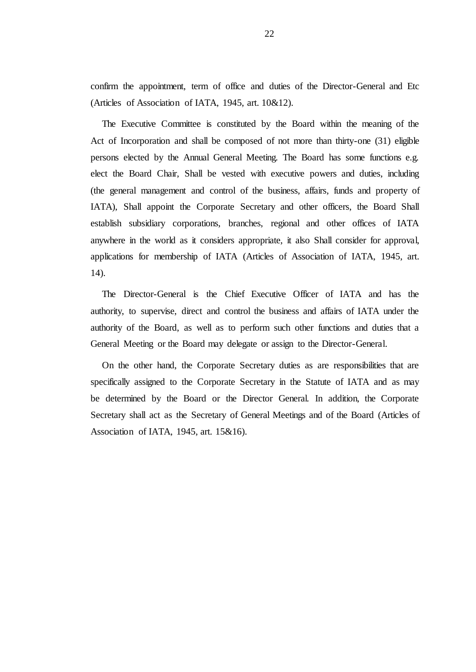confirm the appointment, term of office and duties of the Director-General and Etc (Articles of Association of IATA, 1945, art. 10&12).

The Executive Committee is constituted by the Board within the meaning of the Act of Incorporation and shall be composed of not more than thirty-one (31) eligible persons elected by the Annual General Meeting. The Board has some functions e.g. elect the Board Chair, Shall be vested with executive powers and duties, including (the general management and control of the business, affairs, funds and property of IATA), Shall appoint the Corporate Secretary and other officers, the Board Shall establish subsidiary corporations, branches, regional and other offices of IATA anywhere in the world as it considers appropriate, it also Shall consider for approval, applications for membership of IATA (Articles of Association of IATA, 1945, art. 14).

The Director-General is the Chief Executive Officer of IATA and has the authority, to supervise, direct and control the business and affairs of IATA under the authority of the Board, as well as to perform such other functions and duties that a General Meeting or the Board may delegate or assign to the Director-General.

On the other hand, the Corporate Secretary duties as are responsibilities that are specifically assigned to the Corporate Secretary in the Statute of IATA and as may be determined by the Board or the Director General. In addition, the Corporate Secretary shall act as the Secretary of General Meetings and of the Board (Articles of Association of IATA, 1945, art. 15&16).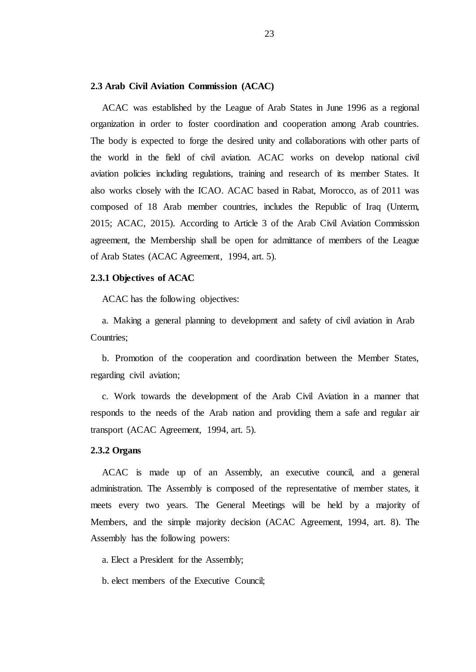#### **2.3 Arab Civil Aviation Commission (ACAC)**

ACAC was established by the League of Arab States in June 1996 as a regional organization in order to foster coordination and cooperation among Arab countries. The body is expected to forge the desired unity and collaborations with other parts of the world in the field of civil aviation. ACAC works on develop national civil aviation policies including regulations, training and research of its member States. It also works closely with the ICAO. ACAC based in Rabat, Morocco, as of 2011 was composed of 18 Arab member countries, includes the Republic of Iraq (Unterm, 2015; ACAC, 2015). According to Article 3 of the Arab Civil Aviation Commission agreement, the Membership shall be open for admittance of members of the League of Arab States (ACAC Agreement, 1994, art. 5).

#### **2.3.1 Objectives of ACAC**

ACAC has the following objectives:

a. Making a general planning to development and safety of civil aviation in Arab Countries;

b. Promotion of the cooperation and coordination between the Member States, regarding civil aviation;

c. Work towards the development of the Arab Civil Aviation in a manner that responds to the needs of the Arab nation and providing them a safe and regular air transport (ACAC Agreement, 1994, art. 5).

#### **2.3.2 Organs**

ACAC is made up of an Assembly, an executive council, and a general administration. The Assembly is composed of the representative of member states, it meets every two years. The General Meetings will be held by a majority of Members, and the simple majority decision (ACAC Agreement, 1994, art. 8). The Assembly has the following powers:

a. Elect a President for the Assembly;

b. elect members of the Executive Council;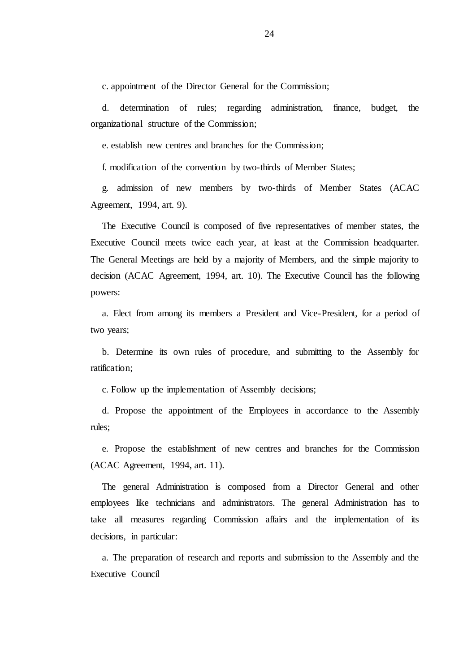c. appointment of the Director General for the Commission;

d. determination of rules; regarding administration, finance, budget, the organizational structure of the Commission;

e. establish new centres and branches for the Commission;

f. modification of the convention by two-thirds of Member States;

g. admission of new members by two-thirds of Member States (ACAC Agreement, 1994, art. 9).

The Executive Council is composed of five representatives of member states, the Executive Council meets twice each year, at least at the Commission headquarter. The General Meetings are held by a majority of Members, and the simple majority to decision (ACAC Agreement, 1994, art. 10). The Executive Council has the following powers:

a. Elect from among its members a President and Vice-President, for a period of two years;

b. Determine its own rules of procedure, and submitting to the Assembly for ratification;

c. Follow up the implementation of Assembly decisions;

d. Propose the appointment of the Employees in accordance to the Assembly rules;

e. Propose the establishment of new centres and branches for the Commission (ACAC Agreement, 1994, art. 11).

The general Administration is composed from a Director General and other employees like technicians and administrators. The general Administration has to take all measures regarding Commission affairs and the implementation of its decisions, in particular:

a. The preparation of research and reports and submission to the Assembly and the Executive Council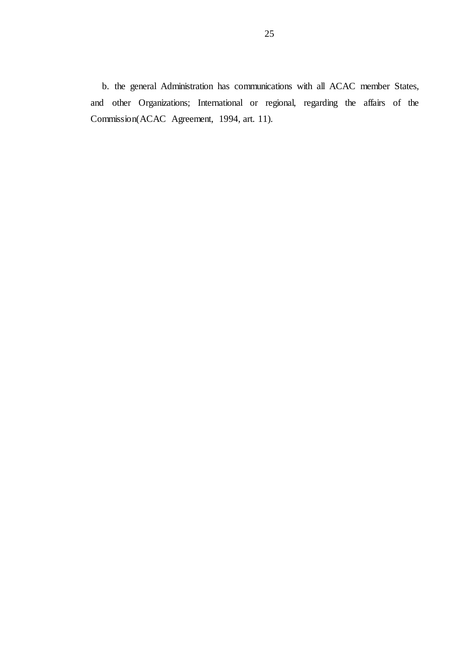b. the general Administration has communications with all ACAC member States, and other Organizations; International or regional, regarding the affairs of the Commission(ACAC Agreement, 1994, art. 11).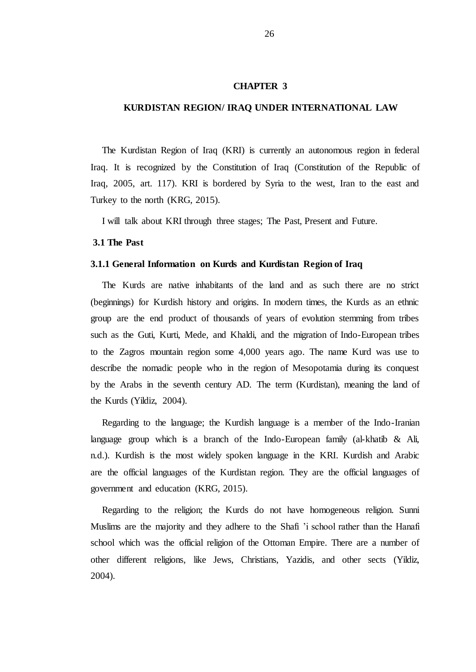#### **CHAPTER 3**

#### **KURDISTAN REGION/ IRAQ UNDER INTERNATIONAL LAW**

The Kurdistan Region of Iraq (KRI) is currently an autonomous region in federal Iraq. It is recognized by the Constitution of Iraq (Constitution of the Republic of Iraq, 2005, art. 117). KRI is bordered by Syria to the west, Iran to the east and Turkey to the north (KRG, 2015).

I will talk about KRI through three stages; The Past, Present and Future.

#### **3.1 The Past**

#### **3.1.1 General Information on Kurds and Kurdistan Region of Iraq**

The Kurds are native inhabitants of the land and as such there are no strict (beginnings) for Kurdish history and origins. In modern times, the Kurds as an ethnic group are the end product of thousands of years of evolution stemming from tribes such as the Guti, Kurti, Mede, and Khaldi, and the migration of Indo-European tribes to the Zagros mountain region some 4,000 years ago. The name Kurd was use to describe the nomadic people who in the region of Mesopotamia during its conquest by the Arabs in the seventh century AD. The term (Kurdistan), meaning the land of the Kurds (Yildiz, 2004).

Regarding to the language; the Kurdish language is a member of the Indo-Iranian language group which is a branch of the Indo-European family (al-khatib & Ali, n.d.). Kurdish is the most widely spoken language in the KRI. Kurdish and Arabic are the official languages of the Kurdistan region. They are the official languages of government and education (KRG, 2015).

Regarding to the religion; the Kurds do not have homogeneous religion. Sunni Muslims are the majority and they adhere to the Shafi "i school rather than the Hanafi school which was the official religion of the Ottoman Empire. There are a number of other different religions, like Jews, Christians, Yazidis, and other sects (Yildiz, 2004).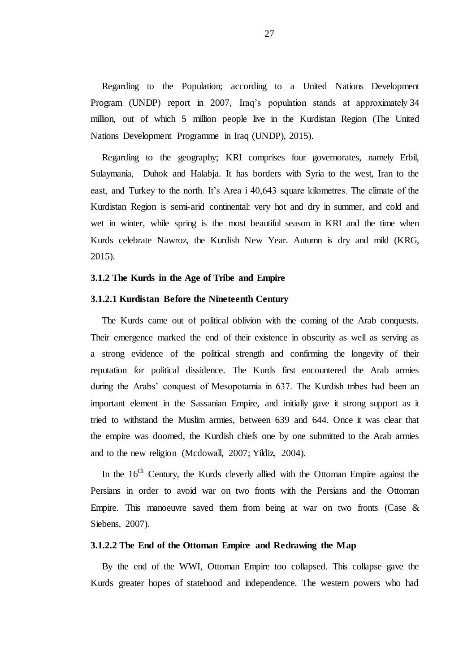Regarding to the Population; according to a United Nations Development Program (UNDP) report in 2007, Iraq"s population stands at approximately 34 million, out of which 5 million people live in the Kurdistan Region (The United Nations Development Programme in Iraq (UNDP), 2015).

Regarding to the geography; KRI comprises four governorates, namely Erbil, Sulaymania, Duhok and Halabja. It has borders with Syria to the west, Iran to the east, and Turkey to the north. It's Area i 40,643 square kilometres. The climate of the Kurdistan Region is semi-arid continental: very hot and dry in summer, and cold and wet in winter, while spring is the most beautiful season in KRI and the time when Kurds celebrate Nawroz, the Kurdish New Year. Autumn is dry and mild (KRG, 2015).

#### **3.1.2 The Kurds in the Age of Tribe and Empire**

#### **3.1.2.1 Kurdistan Before the Nineteenth Century**

The Kurds came out of political oblivion with the coming of the Arab conquests. Their emergence marked the end of their existence in obscurity as well as serving as a strong evidence of the political strength and confirming the longevity of their reputation for political dissidence. The Kurds first encountered the Arab armies during the Arabs" conquest of Mesopotamia in 637. The Kurdish tribes had been an important element in the Sassanian Empire, and initially gave it strong support as it tried to withstand the Muslim armies, between 639 and 644. Once it was clear that the empire was doomed, the Kurdish chiefs one by one submitted to the Arab armies and to the new religion (Mcdowall, 2007; Yildiz, 2004).

In the  $16<sup>th</sup>$  Century, the Kurds cleverly allied with the Ottoman Empire against the Persians in order to avoid war on two fronts with the Persians and the Ottoman Empire. This manoeuvre saved them from being at war on two fronts (Case  $\&$ Siebens, 2007).

#### **3.1.2.2 The End of the Ottoman Empire and Redrawing the Map**

By the end of the WWI, Ottoman Empire too collapsed. This collapse gave the Kurds greater hopes of statehood and independence. The western powers who had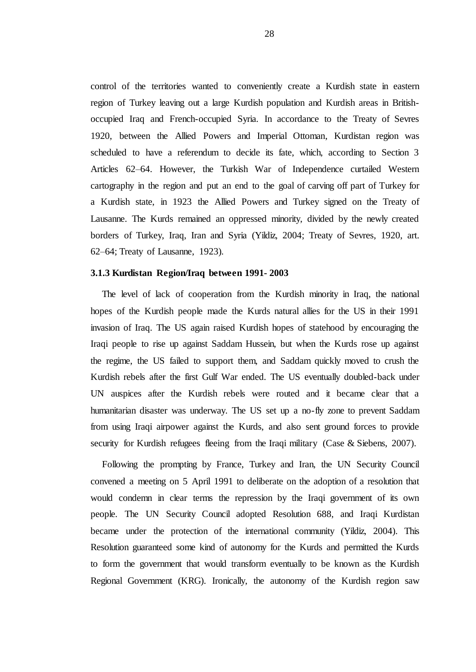control of the territories wanted to conveniently create a Kurdish state in eastern region of Turkey leaving out a large Kurdish population and Kurdish areas in Britishoccupied Iraq and French-occupied Syria. In accordance to the Treaty of Sevres 1920, between the Allied Powers and Imperial Ottoman, Kurdistan region was scheduled to have a referendum to decide its fate, which, according to Section 3 Articles 62–64. However, the Turkish War of Independence curtailed Western cartography in the region and put an end to the goal of carving off part of Turkey for a Kurdish state, in 1923 the Allied Powers and Turkey signed on the Treaty of Lausanne. The Kurds remained an oppressed minority, divided by the newly created borders of Turkey, Iraq, Iran and Syria (Yildiz, 2004; Treaty of Sevres, 1920, art. 62–64; Treaty of Lausanne, 1923).

#### **3.1.3 Kurdistan Region/Iraq between 1991- 2003**

The level of lack of cooperation from the Kurdish minority in Iraq, the national hopes of the Kurdish people made the Kurds natural allies for the US in their 1991 invasion of Iraq. The US again raised Kurdish hopes of statehood by encouraging the Iraqi people to rise up against Saddam Hussein, but when the Kurds rose up against the regime, the US failed to support them, and Saddam quickly moved to crush the Kurdish rebels after the first Gulf War ended. The US eventually doubled-back under UN auspices after the Kurdish rebels were routed and it became clear that a humanitarian disaster was underway. The US set up a no-fly zone to prevent Saddam from using Iraqi airpower against the Kurds, and also sent ground forces to provide security for Kurdish refugees fleeing from the Iraqi military (Case & Siebens, 2007).

Following the prompting by France, Turkey and Iran, the UN Security Council convened a meeting on 5 April 1991 to deliberate on the adoption of a resolution that would condemn in clear terms the repression by the Iraqi government of its own people. The UN Security Council adopted Resolution 688, and Iraqi Kurdistan became under the protection of the international community (Yildiz, 2004). This Resolution guaranteed some kind of autonomy for the Kurds and permitted the Kurds to form the government that would transform eventually to be known as the Kurdish Regional Government (KRG). Ironically, the autonomy of the Kurdish region saw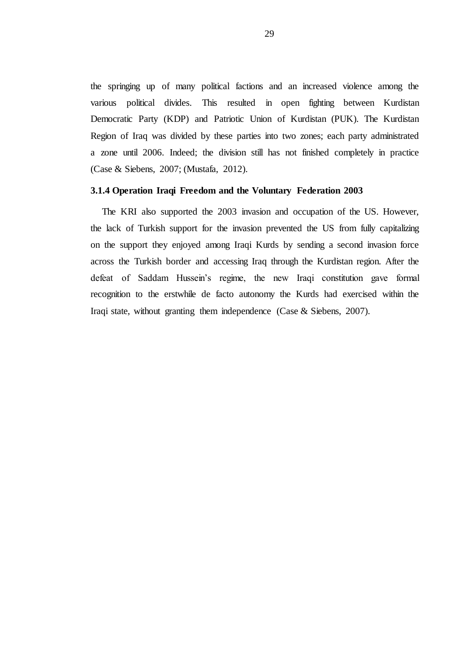the springing up of many political factions and an increased violence among the various political divides. This resulted in open fighting between Kurdistan Democratic Party (KDP) and Patriotic Union of Kurdistan (PUK). The Kurdistan Region of Iraq was divided by these parties into two zones; each party administrated a zone until 2006. Indeed; the division still has not finished completely in practice (Case & Siebens, 2007; (Mustafa, 2012).

#### **3.1.4 Operation Iraqi Freedom and the Voluntary Federation 2003**

The KRI also supported the 2003 invasion and occupation of the US. However, the lack of Turkish support for the invasion prevented the US from fully capitalizing on the support they enjoyed among Iraqi Kurds by sending a second invasion force across the Turkish border and accessing Iraq through the Kurdistan region. After the defeat of Saddam Hussein"s regime, the new Iraqi constitution gave formal recognition to the erstwhile de facto autonomy the Kurds had exercised within the Iraqi state, without granting them independence (Case & Siebens, 2007).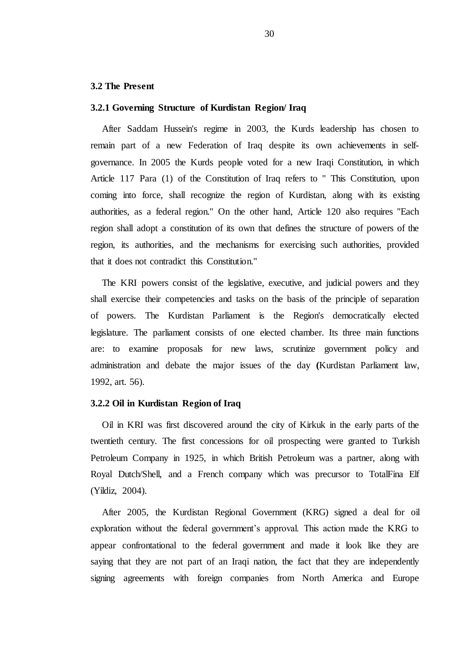#### **3.2 The Present**

#### **3.2.1 Governing Structure of Kurdistan Region/ Iraq**

After Saddam Hussein's regime in 2003, the Kurds leadership has chosen to remain part of a new Federation of Iraq despite its own achievements in selfgovernance. In 2005 the Kurds people voted for a new Iraqi Constitution, in which Article 117 Para (1) of the Constitution of Iraq refers to '' This Constitution, upon coming into force, shall recognize the region of Kurdistan, along with its existing authorities, as a federal region.'' On the other hand, Article 120 also requires ''Each region shall adopt a constitution of its own that defines the structure of powers of the region, its authorities, and the mechanisms for exercising such authorities, provided that it does not contradict this Constitution.''

The KRI powers consist of the legislative, executive, and judicial powers and they shall exercise their competencies and tasks on the basis of the principle of separation of powers. The Kurdistan Parliament is the Region's democratically elected legislature. The parliament consists of one elected chamber. Its three main functions are: to examine proposals for new laws, scrutinize government policy and administration and debate the major issues of the day **(**Kurdistan Parliament law, 1992, art. 56).

#### **3.2.2 Oil in Kurdistan Region of Iraq**

Oil in KRI was first discovered around the city of Kirkuk in the early parts of the twentieth century. The first concessions for oil prospecting were granted to Turkish Petroleum Company in 1925, in which British Petroleum was a partner, along with Royal Dutch/Shell, and a French company which was precursor to TotalFina Elf (Yildiz, 2004).

After 2005, the Kurdistan Regional Government (KRG) signed a deal for oil exploration without the federal government's approval. This action made the KRG to appear confrontational to the federal government and made it look like they are saying that they are not part of an Iraqi nation, the fact that they are independently signing agreements with foreign companies from North America and Europe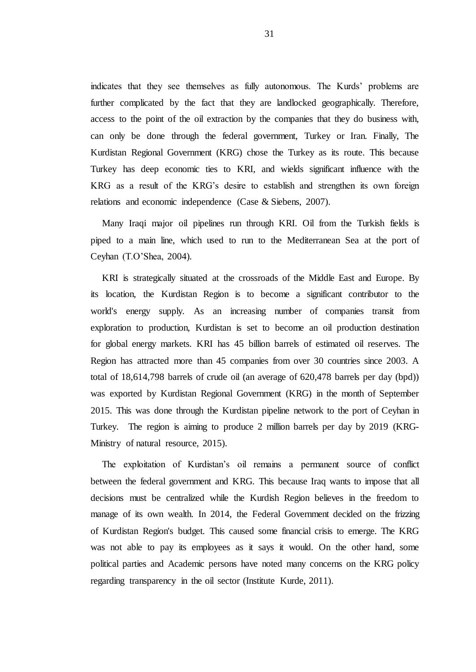indicates that they see themselves as fully autonomous. The Kurds" problems are further complicated by the fact that they are landlocked geographically. Therefore, access to the point of the oil extraction by the companies that they do business with, can only be done through the federal government, Turkey or Iran. Finally, The Kurdistan Regional Government (KRG) chose the Turkey as its route. This because Turkey has deep economic ties to KRI, and wields significant influence with the KRG as a result of the KRG"s desire to establish and strengthen its own foreign relations and economic independence (Case & Siebens, 2007).

Many Iraqi major oil pipelines run through KRI. Oil from the Turkish fields is piped to a main line, which used to run to the Mediterranean Sea at the port of Ceyhan (T.O"Shea, 2004).

KRI is strategically situated at the crossroads of the Middle East and Europe. By its location, the Kurdistan Region is to become a significant contributor to the world's energy supply. As an increasing number of companies transit from exploration to production, Kurdistan is set to become an oil production destination for global energy markets. KRI has 45 billion barrels of estimated oil reserves. The Region has attracted more than 45 companies from over 30 countries since 2003. A total of 18,614,798 barrels of crude oil (an average of 620,478 barrels per day (bpd)) was exported by Kurdistan Regional Government (KRG) in the month of September 2015. This was done through the Kurdistan pipeline network to the port of Ceyhan in Turkey. The region is aiming to produce 2 million barrels per day by 2019 (KRG-Ministry of natural resource, 2015).

The exploitation of Kurdistan"s oil remains a permanent source of conflict between the federal government and KRG. This because Iraq wants to impose that all decisions must be centralized while the Kurdish Region believes in the freedom to manage of its own wealth. In 2014, the Federal Government decided on the frizzing of Kurdistan Region's budget. This caused some financial crisis to emerge. The KRG was not able to pay its employees as it says it would. On the other hand, some political parties and Academic persons have noted many concerns on the KRG policy regarding transparency in the oil sector (Institute Kurde, 2011).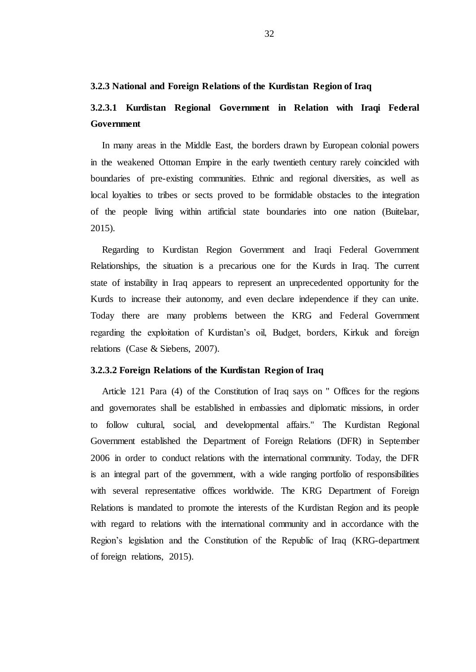#### **3.2.3 National and Foreign Relations of the Kurdistan Region of Iraq**

# **3.2.3.1 Kurdistan Regional Government in Relation with Iraqi Federal Government**

In many areas in the Middle East, the borders drawn by European colonial powers in the weakened Ottoman Empire in the early twentieth century rarely coincided with boundaries of pre-existing communities. Ethnic and regional diversities, as well as local loyalties to tribes or sects proved to be formidable obstacles to the integration of the people living within artificial state boundaries into one nation (Buitelaar, 2015).

Regarding to Kurdistan Region Government and Iraqi Federal Government Relationships, the situation is a precarious one for the Kurds in Iraq. The current state of instability in Iraq appears to represent an unprecedented opportunity for the Kurds to increase their autonomy, and even declare independence if they can unite. Today there are many problems between the KRG and Federal Government regarding the exploitation of Kurdistan"s oil, Budget, borders, Kirkuk and foreign relations (Case & Siebens, 2007).

#### **3.2.3.2 Foreign Relations of the Kurdistan Region of Iraq**

Article 121 Para (4) of the Constitution of Iraq says on '' Offices for the regions and governorates shall be established in embassies and diplomatic missions, in order to follow cultural, social, and developmental affairs.'' The Kurdistan Regional Government established the Department of Foreign Relations (DFR) in September 2006 in order to conduct relations with the international community. Today, the DFR is an integral part of the government, with a wide ranging portfolio of responsibilities with several representative offices worldwide. The KRG Department of Foreign Relations is mandated to promote the interests of the Kurdistan Region and its people with regard to relations with the international community and in accordance with the Region"s legislation and the Constitution of the Republic of Iraq (KRG-department of foreign relations, 2015).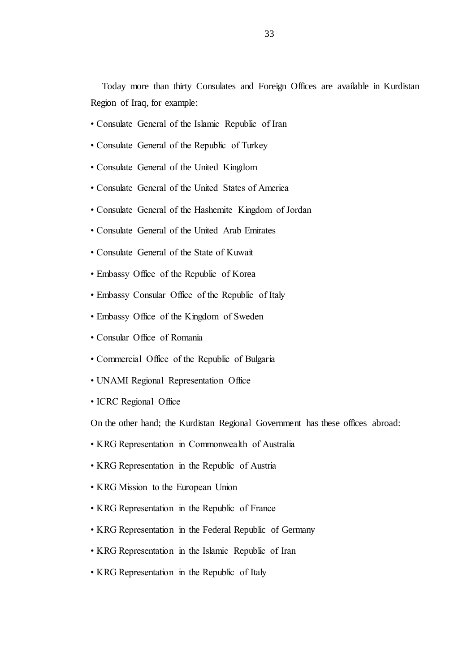Today more than thirty Consulates and Foreign Offices are available in Kurdistan Region of Iraq, for example:

- Consulate General of the Islamic Republic of Iran
- Consulate General of the Republic of Turkey
- Consulate General of the United Kingdom
- Consulate General of the United States of America
- Consulate General of the Hashemite Kingdom of Jordan
- Consulate General of the United Arab Emirates
- Consulate General of the State of Kuwait
- Embassy Office of the Republic of Korea
- Embassy Consular Office of the Republic of Italy
- Embassy Office of the Kingdom of Sweden
- Consular Office of Romania
- Commercial Office of the Republic of Bulgaria
- UNAMI Regional Representation Office
- ICRC Regional Office

On the other hand; the Kurdistan Regional Government has these offices abroad:

- KRG Representation in Commonwealth of Australia
- KRG Representation in the Republic of Austria
- KRG Mission to the European Union
- KRG Representation in the Republic of France
- KRG Representation in the Federal Republic of Germany
- KRG Representation in the Islamic Republic of Iran
- KRG Representation in the Republic of Italy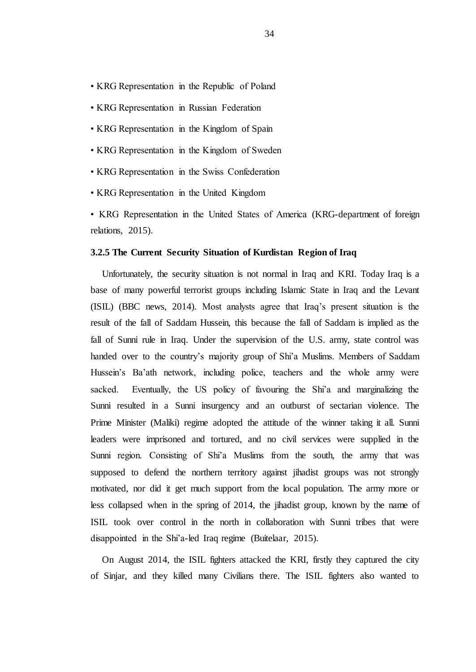- KRG Representation in the Republic of Poland
- KRG Representation in Russian Federation
- KRG Representation in the Kingdom of Spain
- KRG Representation in the Kingdom of Sweden
- KRG Representation in the Swiss Confederation
- KRG Representation in the United Kingdom
- KRG Representation in the United States of America (KRG-department of foreign relations, 2015).

#### **3.2.5 The Current Security Situation of Kurdistan Region of Iraq**

Unfortunately, the security situation is not normal in Iraq and KRI. Today Iraq is a base of many powerful terrorist groups including Islamic State in Iraq and the Levant (ISIL) (BBC news, 2014). Most analysts agree that Iraq"s present situation is the result of the fall of Saddam Hussein, this because the fall of Saddam is implied as the fall of Sunni rule in Iraq. Under the supervision of the U.S. army, state control was handed over to the country's majority group of Shi'a Muslims. Members of Saddam Hussein's Ba'ath network, including police, teachers and the whole army were sacked. Eventually, the US policy of favouring the Shi'a and marginalizing the Sunni resulted in a Sunni insurgency and an outburst of sectarian violence. The Prime Minister (Maliki) regime adopted the attitude of the winner taking it all. Sunni leaders were imprisoned and tortured, and no civil services were supplied in the Sunni region. Consisting of Shi"a Muslims from the south, the army that was supposed to defend the northern territory against jihadist groups was not strongly motivated, nor did it get much support from the local population. The army more or less collapsed when in the spring of 2014, the jihadist group, known by the name of ISIL took over control in the north in collaboration with Sunni tribes that were disappointed in the Shi"a-led Iraq regime (Buitelaar, 2015).

On August 2014, the ISIL fighters attacked the KRI, firstly they captured the city of Sinjar, and they killed many Civilians there. The ISIL fighters also wanted to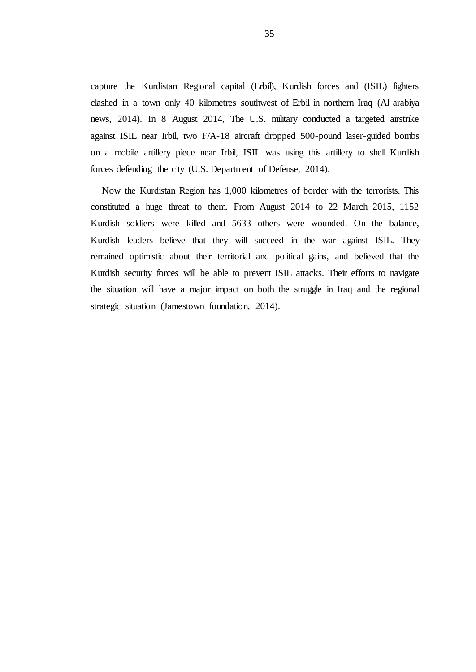capture the Kurdistan Regional capital (Erbil), Kurdish forces and (ISIL) fighters clashed in a town only 40 kilometres southwest of Erbil in northern Iraq (Al arabiya news, 2014). In 8 August 2014, The U.S. military conducted a targeted airstrike against ISIL near Irbil, two F/A-18 aircraft dropped 500-pound laser-guided bombs on a mobile artillery piece near Irbil, ISIL was using this artillery to shell Kurdish forces defending the city (U.S. Department of Defense, 2014).

Now the Kurdistan Region has 1,000 kilometres of border with the terrorists. This constituted a huge threat to them. From August 2014 to 22 March 2015, 1152 Kurdish soldiers were killed and 5633 others were wounded. On the balance, Kurdish leaders believe that they will succeed in the war against ISIL. They remained optimistic about their territorial and political gains, and believed that the Kurdish security forces will be able to prevent ISIL attacks. Their efforts to navigate the situation will have a major impact on both the struggle in Iraq and the regional strategic situation (Jamestown foundation, 2014).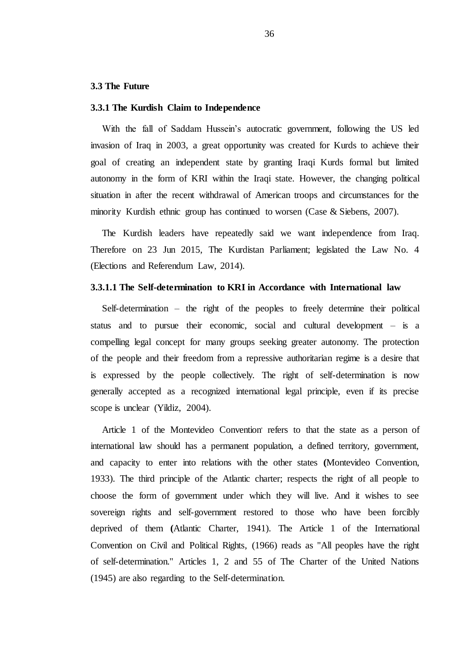#### **3.3 The Future**

#### **3.3.1 The Kurdish Claim to Independence**

With the fall of Saddam Hussein's autocratic government, following the US led invasion of Iraq in 2003, a great opportunity was created for Kurds to achieve their goal of creating an independent state by granting Iraqi Kurds formal but limited autonomy in the form of KRI within the Iraqi state. However, the changing political situation in after the recent withdrawal of American troops and circumstances for the minority Kurdish ethnic group has continued to worsen (Case & Siebens, 2007).

The Kurdish leaders have repeatedly said we want independence from Iraq. Therefore on 23 Jun 2015, The Kurdistan Parliament; legislated the Law No. 4 (Elections and Referendum Law, 2014).

#### **3.3.1.1 The Self-determination to KRI in Accordance with International law**

Self-determination – the right of the peoples to freely determine their political status and to pursue their economic, social and cultural development – is a compelling legal concept for many groups seeking greater autonomy. The protection of the people and their freedom from a repressive authoritarian regime is a desire that is expressed by the people collectively. The right of self-determination is now generally accepted as a recognized international legal principle, even if its precise scope is unclear (Yildiz, 2004).

Article 1 of the Montevideo Convention refers to that the state as a person of international law should has a permanent population, a defined territory, government, and capacity to enter into relations with the other states **(**Montevideo Convention, 1933). The third principle of the Atlantic charter; respects the right of all people to choose the form of government under which they will live. And it wishes to see sovereign rights and self-government restored to those who have been forcibly deprived of them **(**Atlantic Charter, 1941). The Article 1 of the International Convention on Civil and Political Rights, (1966) reads as ''All peoples have the right of self-determination.'' Articles 1, 2 and 55 of The Charter of the United Nations (1945) are also regarding to the Self-determination.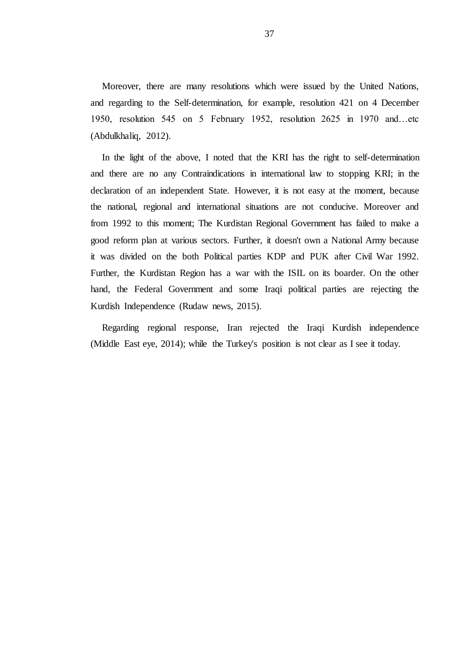Moreover, there are many resolutions which were issued by the United Nations, and regarding to the Self-determination, for example, resolution 421 on 4 December 1950, resolution 545 on 5 February 1952, resolution 2625 in 1970 and…etc (Abdulkhaliq, 2012).

In the light of the above, I noted that the KRI has the right to self-determination and there are no any Contraindications in international law to stopping KRI; in the declaration of an independent State. However, it is not easy at the moment, because the national, regional and international situations are not conducive. Moreover and from 1992 to this moment; The Kurdistan Regional Government has failed to make a good reform plan at various sectors. Further, it doesn't own a National Army because it was divided on the both Political parties KDP and PUK after Civil War 1992. Further, the Kurdistan Region has a war with the ISIL on its boarder. On the other hand, the Federal Government and some Iraqi political parties are rejecting the Kurdish Independence (Rudaw news, 2015).

Regarding regional response, Iran rejected the Iraqi Kurdish independence (Middle East eye, 2014); while the Turkey's position is not clear as I see it today.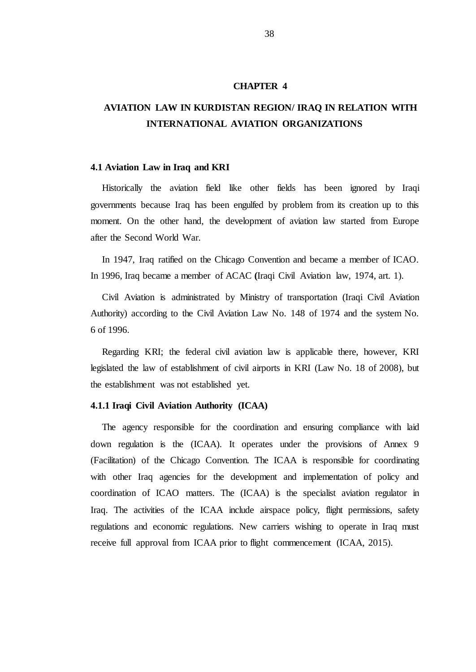#### **CHAPTER 4**

# **AVIATION LAW IN KURDISTAN REGION/ IRAQ IN RELATION WITH INTERNATIONAL AVIATION ORGANIZATIONS**

#### **4.1 Aviation Law in Iraq and KRI**

Historically the aviation field like other fields has been ignored by Iraqi governments because Iraq has been engulfed by problem from its creation up to this moment. On the other hand, the development of aviation law started from Europe after the Second World War.

In 1947, Iraq ratified on the Chicago Convention and became a member of ICAO. In 1996, Iraq became a member of ACAC **(**Iraqi Civil Aviation law, 1974, art. 1).

Civil Aviation is administrated by Ministry of transportation (Iraqi Civil Aviation Authority) according to the Civil Aviation Law No. 148 of 1974 and the system No. 6 of 1996.

Regarding KRI; the federal civil aviation law is applicable there, however, KRI legislated the law of establishment of civil airports in KRI (Law No. 18 of 2008), but the establishment was not established yet.

#### **4.1.1 Iraqi Civil Aviation Authority (ICAA)**

The agency responsible for the coordination and ensuring compliance with laid down regulation is the (ICAA). It operates under the provisions of Annex 9 (Facilitation) of the Chicago Convention. The ICAA is responsible for coordinating with other Iraq agencies for the development and implementation of policy and coordination of ICAO matters. The (ICAA) is the specialist aviation regulator in Iraq. The activities of the ICAA include airspace policy, flight permissions, safety regulations and economic regulations. New carriers wishing to operate in Iraq must receive full approval from ICAA prior to flight commencement (ICAA, 2015).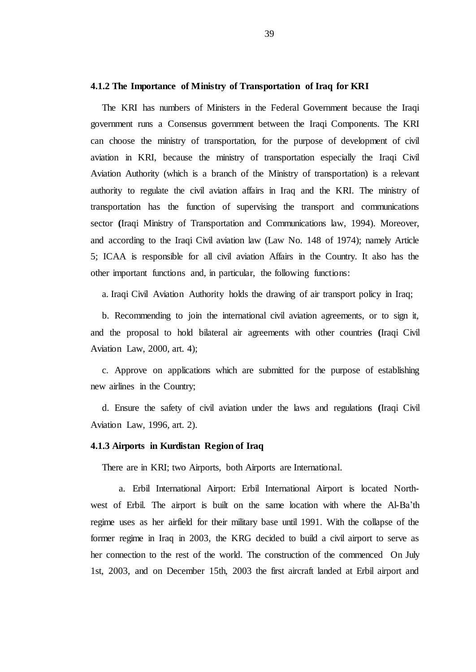#### **4.1.2 The Importance of Ministry of Transportation of Iraq for KRI**

The KRI has numbers of Ministers in the Federal Government because the Iraqi government runs a Consensus government between the Iraqi Components. The KRI can choose the ministry of transportation, for the purpose of development of civil aviation in KRI, because the ministry of transportation especially the Iraqi Civil Aviation Authority (which is a branch of the Ministry of transportation) is a relevant authority to regulate the civil aviation affairs in Iraq and the KRI. The ministry of transportation has the function of supervising the transport and communications sector **(**Iraqi Ministry of Transportation and Communications law, 1994). Moreover, and according to the Iraqi Civil aviation law (Law No. 148 of 1974); namely Article 5; ICAA is responsible for all civil aviation Affairs in the Country. It also has the other important functions and, in particular, the following functions:

a. Iraqi Civil Aviation Authority holds the drawing of air transport policy in Iraq;

b. Recommending to join the international civil aviation agreements, or to sign it, and the proposal to hold bilateral air agreements with other countries **(**Iraqi Civil Aviation Law, 2000, art. 4);

c. Approve on applications which are submitted for the purpose of establishing new airlines in the Country;

d. Ensure the safety of civil aviation under the laws and regulations **(**Iraqi Civil Aviation Law, 1996, art. 2).

## **4.1.3 Airports in Kurdistan Region of Iraq**

There are in KRI; two Airports, both Airports are International.

 a. Erbil International Airport: Erbil International Airport is located Northwest of Erbil. The airport is built on the same location with where the Al-Ba"th regime uses as her airfield for their military base until 1991. With the collapse of the former regime in Iraq in 2003, the KRG decided to build a civil airport to serve as her connection to the rest of the world. The construction of the commenced On July 1st, 2003, and on December 15th, 2003 the first aircraft landed at Erbil airport and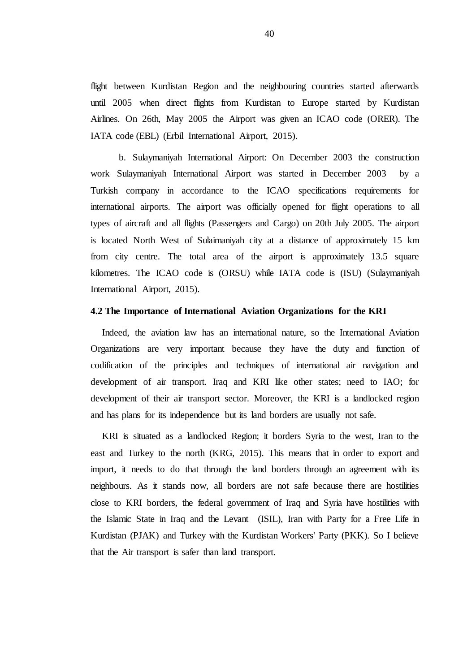flight between Kurdistan Region and the neighbouring countries started afterwards until 2005 when direct flights from Kurdistan to Europe started by Kurdistan Airlines. On 26th, May 2005 the Airport was given an ICAO code (ORER). The IATA code (EBL) (Erbil International Airport, 2015).

 b. Sulaymaniyah International Airport: On December 2003 the construction work Sulaymaniyah International Airport was started in December 2003 by a Turkish company in accordance to the ICAO specifications requirements for international airports. The airport was officially opened for flight operations to all types of aircraft and all flights (Passengers and Cargo) on 20th July 2005. The airport is located North West of Sulaimaniyah city at a distance of approximately 15 km from city centre. The total area of the airport is approximately 13.5 square kilometres. The ICAO code is (ORSU) while IATA code is (ISU) (Sulaymaniyah International Airport, 2015).

#### **4.2 The Importance of International Aviation Organizations for the KRI**

Indeed, the aviation law has an international nature, so the International Aviation Organizations are very important because they have the duty and function of codification of the principles and techniques of international air navigation and development of air transport. Iraq and KRI like other states; need to IAO; for development of their air transport sector. Moreover, the KRI is a landlocked region and has plans for its independence but its land borders are usually not safe.

KRI is situated as a landlocked Region; it borders Syria to the west, Iran to the east and Turkey to the north (KRG, 2015). This means that in order to export and import, it needs to do that through the land borders through an agreement with its neighbours. As it stands now, all borders are not safe because there are hostilities close to KRI borders, the federal government of Iraq and Syria have hostilities with the Islamic State in Iraq and the Levant (ISIL), Iran with Party for a Free Life in Kurdistan (PJAK) and Turkey with the Kurdistan Workers' Party (PKK). So I believe that the Air transport is safer than land transport.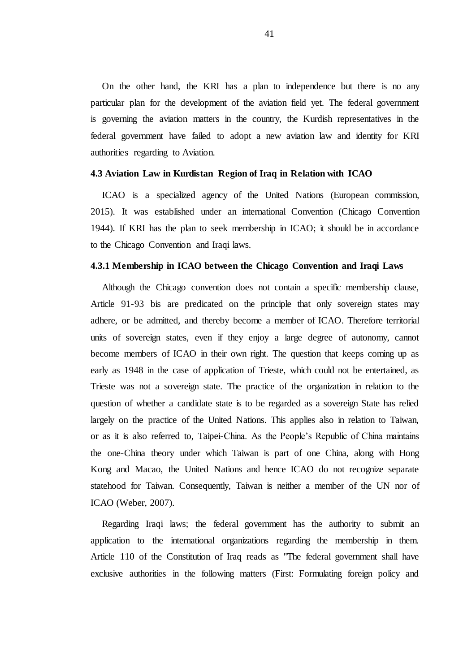On the other hand, the KRI has a plan to independence but there is no any particular plan for the development of the aviation field yet. The federal government is governing the aviation matters in the country, the Kurdish representatives in the federal government have failed to adopt a new aviation law and identity for KRI authorities regarding to Aviation.

#### **4.3 Aviation Law in Kurdistan Region of Iraq in Relation with ICAO**

ICAO is a specialized agency of the United Nations (European commission, 2015). It was established under an international Convention (Chicago Convention 1944). If KRI has the plan to seek membership in ICAO; it should be in accordance to the Chicago Convention and Iraqi laws.

#### **4.3.1 Membership in ICAO between the Chicago Convention and Iraqi Laws**

Although the Chicago convention does not contain a specific membership clause, Article 91-93 bis are predicated on the principle that only sovereign states may adhere, or be admitted, and thereby become a member of ICAO. Therefore territorial units of sovereign states, even if they enjoy a large degree of autonomy, cannot become members of ICAO in their own right. The question that keeps coming up as early as 1948 in the case of application of Trieste, which could not be entertained, as Trieste was not a sovereign state. The practice of the organization in relation to the question of whether a candidate state is to be regarded as a sovereign State has relied largely on the practice of the United Nations. This applies also in relation to Taiwan, or as it is also referred to, Taipei-China. As the People"s Republic of China maintains the one-China theory under which Taiwan is part of one China, along with Hong Kong and Macao, the United Nations and hence ICAO do not recognize separate statehood for Taiwan. Consequently, Taiwan is neither a member of the UN nor of ICAO (Weber, 2007).

Regarding Iraqi laws; the federal government has the authority to submit an application to the international organizations regarding the membership in them. Article 110 of the Constitution of Iraq reads as ''The federal government shall have exclusive authorities in the following matters (First: Formulating foreign policy and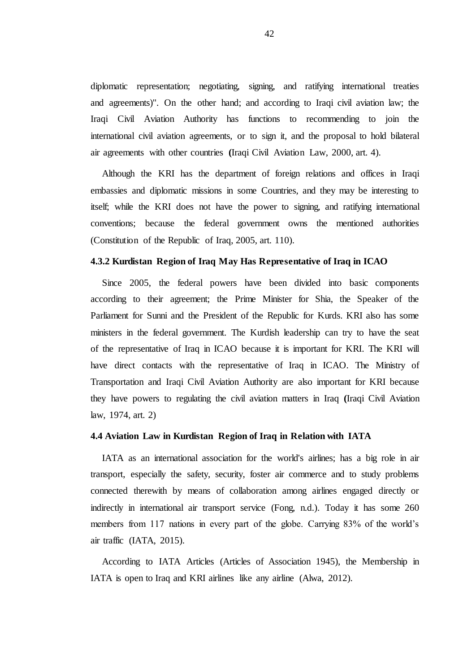diplomatic representation; negotiating, signing, and ratifying international treaties and agreements)''. On the other hand; and according to Iraqi civil aviation law; the Iraqi Civil Aviation Authority has functions to recommending to join the international civil aviation agreements, or to sign it, and the proposal to hold bilateral air agreements with other countries **(**Iraqi Civil Aviation Law, 2000, art. 4).

Although the KRI has the department of foreign relations and offices in Iraqi embassies and diplomatic missions in some Countries, and they may be interesting to itself; while the KRI does not have the power to signing, and ratifying international conventions; because the federal government owns the mentioned authorities (Constitution of the Republic of Iraq, 2005, art. 110).

#### **4.3.2 Kurdistan Region of Iraq May Has Representative of Iraq in ICAO**

Since 2005, the federal powers have been divided into basic components according to their agreement; the Prime Minister for Shia, the Speaker of the Parliament for Sunni and the President of the Republic for Kurds. KRI also has some ministers in the federal government. The Kurdish leadership can try to have the seat of the representative of Iraq in ICAO because it is important for KRI. The KRI will have direct contacts with the representative of Iraq in ICAO. The Ministry of Transportation and Iraqi Civil Aviation Authority are also important for KRI because they have powers to regulating the civil aviation matters in Iraq **(**Iraqi Civil Aviation law, 1974, art. 2)

#### **4.4 Aviation Law in Kurdistan Region of Iraq in Relation with IATA**

IATA as an international association for the world's airlines; has a big role in air transport, especially the safety, security, foster air commerce and to study problems connected therewith by means of collaboration among airlines engaged directly or indirectly in international air transport service (Fong, n.d.). Today it has some 260 members from 117 nations in every part of the globe. Carrying 83% of the world's air traffic (IATA, 2015).

According to IATA Articles (Articles of Association 1945), the Membership in IATA is open to Iraq and KRI airlines like any airline (Alwa, 2012).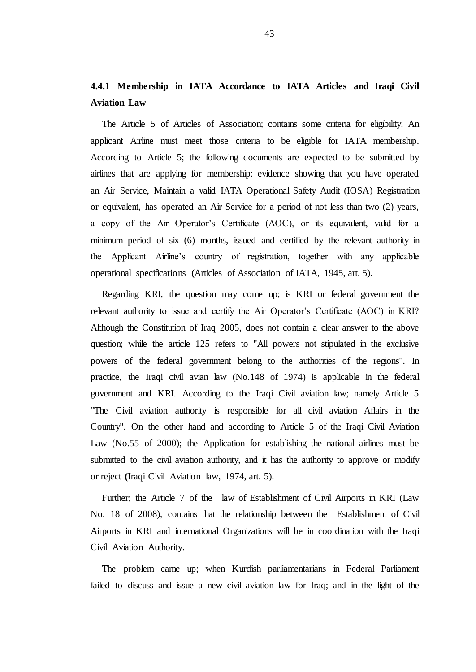# **4.4.1 Membership in IATA Accordance to IATA Articles and Iraqi Civil Aviation Law**

The Article 5 of Articles of Association; contains some criteria for eligibility. An applicant Airline must meet those criteria to be eligible for IATA membership. According to Article 5; the following documents are expected to be submitted by airlines that are applying for membership: evidence showing that you have operated an Air Service, Maintain a valid IATA Operational Safety Audit (IOSA) Registration or equivalent, has operated an Air Service for a period of not less than two (2) years, a copy of the Air Operator"s Certificate (AOC), or its equivalent, valid for a minimum period of six (6) months, issued and certified by the relevant authority in the Applicant Airline"s country of registration, together with any applicable operational specifications **(**Articles of Association of IATA, 1945, art. 5).

Regarding KRI, the question may come up; is KRI or federal government the relevant authority to issue and certify the Air Operator"s Certificate (AOC) in KRI? Although the Constitution of Iraq 2005, does not contain a clear answer to the above question; while the article 125 refers to ''All powers not stipulated in the exclusive powers of the federal government belong to the authorities of the regions''. In practice, the Iraqi civil avian law (No.148 of 1974) is applicable in the federal government and KRI. According to the Iraqi Civil aviation law; namely Article 5 ''The Civil aviation authority is responsible for all civil aviation Affairs in the Country''. On the other hand and according to Article 5 of the Iraqi Civil Aviation Law (No.55 of 2000); the Application for establishing the national airlines must be submitted to the civil aviation authority, and it has the authority to approve or modify or reject **(**Iraqi Civil Aviation law, 1974, art. 5).

Further; the Article 7 of the law of Establishment of Civil Airports in KRI (Law No. 18 of 2008), contains that the relationship between the Establishment of Civil Airports in KRI and international Organizations will be in coordination with the Iraqi Civil Aviation Authority.

The problem came up; when Kurdish parliamentarians in Federal Parliament failed to discuss and issue a new civil aviation law for Iraq; and in the light of the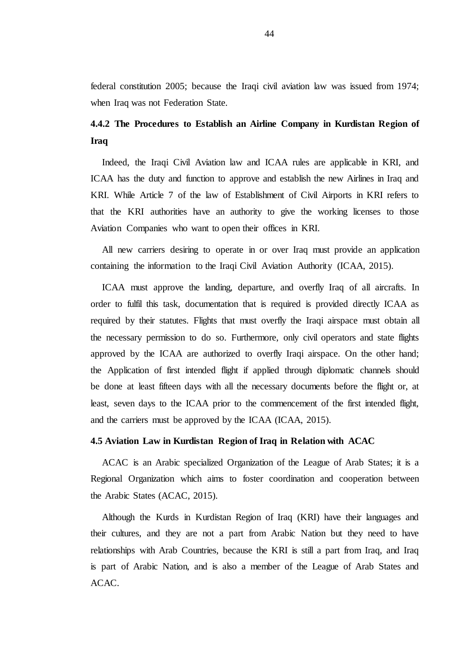federal constitution 2005; because the Iraqi civil aviation law was issued from 1974; when Iraq was not Federation State.

# **4.4.2 The Procedures to Establish an Airline Company in Kurdistan Region of Iraq**

Indeed, the Iraqi Civil Aviation law and ICAA rules are applicable in KRI, and ICAA has the duty and function to approve and establish the new Airlines in Iraq and KRI. While Article 7 of the law of Establishment of Civil Airports in KRI refers to that the KRI authorities have an authority to give the working licenses to those Aviation Companies who want to open their offices in KRI.

All new carriers desiring to operate in or over Iraq must provide an application containing the information to the Iraqi Civil Aviation Authority (ICAA, 2015).

ICAA must approve the landing, departure, and overfly Iraq of all aircrafts. In order to fulfil this task, documentation that is required is provided directly ICAA as required by their statutes. Flights that must overfly the Iraqi airspace must obtain all the necessary permission to do so. Furthermore, only civil operators and state flights approved by the ICAA are authorized to overfly Iraqi airspace. On the other hand; the Application of first intended flight if applied through diplomatic channels should be done at least fifteen days with all the necessary documents before the flight or, at least, seven days to the ICAA prior to the commencement of the first intended flight, and the carriers must be approved by the ICAA (ICAA, 2015).

#### **4.5 Aviation Law in Kurdistan Region of Iraq in Relation with ACAC**

ACAC is an Arabic specialized Organization of the League of Arab States; it is a Regional Organization which aims to foster coordination and cooperation between the Arabic States (ACAC, 2015).

Although the Kurds in Kurdistan Region of Iraq (KRI) have their languages and their cultures, and they are not a part from Arabic Nation but they need to have relationships with Arab Countries, because the KRI is still a part from Iraq, and Iraq is part of Arabic Nation, and is also a member of the League of Arab States and ACAC.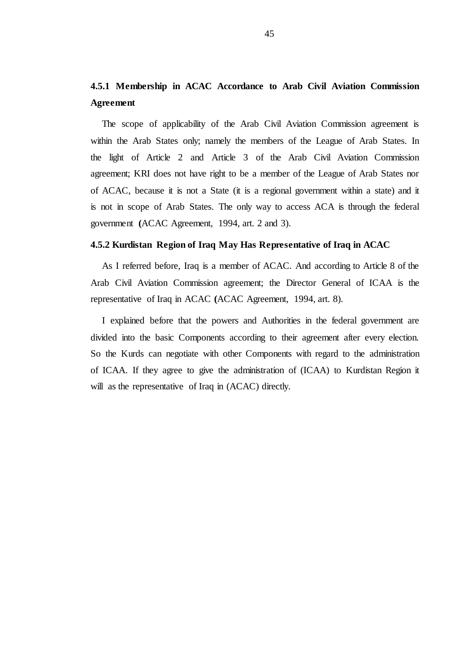# **4.5.1 Membership in ACAC Accordance to Arab Civil Aviation Commission Agreement**

The scope of applicability of the Arab Civil Aviation Commission agreement is within the Arab States only; namely the members of the League of Arab States. In the light of Article 2 and Article 3 of the Arab Civil Aviation Commission agreement; KRI does not have right to be a member of the League of Arab States nor of ACAC, because it is not a State (it is a regional government within a state) and it is not in scope of Arab States. The only way to access ACA is through the federal government **(**ACAC Agreement, 1994, art. 2 and 3).

#### **4.5.2 Kurdistan Region of Iraq May Has Representative of Iraq in ACAC**

As I referred before, Iraq is a member of ACAC. And according to Article 8 of the Arab Civil Aviation Commission agreement; the Director General of ICAA is the representative of Iraq in ACAC **(**ACAC Agreement, 1994, art. 8).

I explained before that the powers and Authorities in the federal government are divided into the basic Components according to their agreement after every election. So the Kurds can negotiate with other Components with regard to the administration of ICAA. If they agree to give the administration of (ICAA) to Kurdistan Region it will as the representative of Iraq in (ACAC) directly.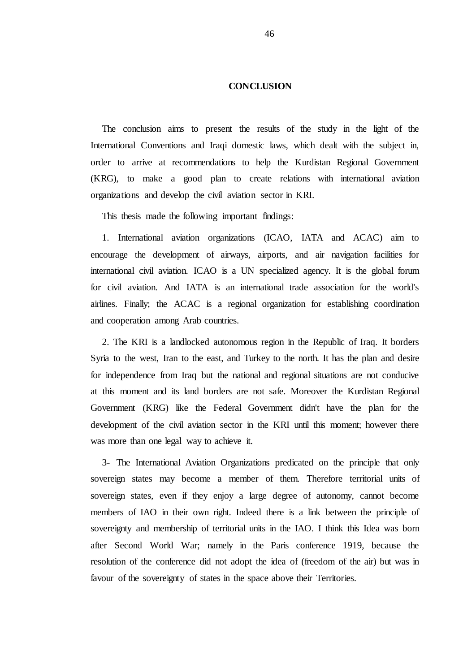#### **CONCLUSION**

The conclusion aims to present the results of the study in the light of the International Conventions and Iraqi domestic laws, which dealt with the subject in, order to arrive at recommendations to help the Kurdistan Regional Government (KRG), to make a good plan to create relations with international aviation organizations and develop the civil aviation sector in KRI.

This thesis made the following important findings:

1. International aviation organizations (ICAO, IATA and ACAC) aim to encourage the development of airways, airports, and air navigation facilities for international civil aviation. ICAO is a UN specialized agency. It is the global forum for civil aviation. And IATA is an international trade association for the world's airlines. Finally; the ACAC is a regional organization for establishing coordination and cooperation among Arab countries.

2. The KRI is a landlocked autonomous region in the Republic of Iraq. It borders Syria to the west, Iran to the east, and Turkey to the north. It has the plan and desire for independence from Iraq but the national and regional situations are not conducive at this moment and its land borders are not safe. Moreover the Kurdistan Regional Government (KRG) like the Federal Government didn't have the plan for the development of the civil aviation sector in the KRI until this moment; however there was more than one legal way to achieve it.

3- The International Aviation Organizations predicated on the principle that only sovereign states may become a member of them. Therefore territorial units of sovereign states, even if they enjoy a large degree of autonomy, cannot become members of IAO in their own right. Indeed there is a link between the principle of sovereignty and membership of territorial units in the IAO. I think this Idea was born after Second World War; namely in the Paris conference 1919, because the resolution of the conference did not adopt the idea of (freedom of the air) but was in favour of the sovereignty of states in the space above their Territories.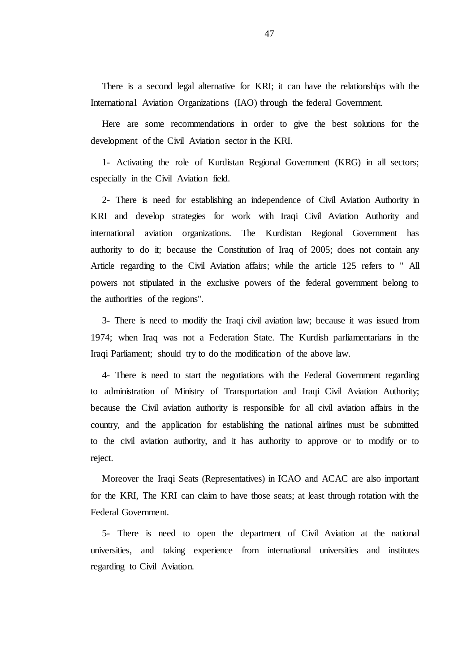There is a second legal alternative for KRI; it can have the relationships with the International Aviation Organizations (IAO) through the federal Government.

Here are some recommendations in order to give the best solutions for the development of the Civil Aviation sector in the KRI.

1- Activating the role of Kurdistan Regional Government (KRG) in all sectors; especially in the Civil Aviation field.

2- There is need for establishing an independence of Civil Aviation Authority in KRI and develop strategies for work with Iraqi Civil Aviation Authority and international aviation organizations. The Kurdistan Regional Government has authority to do it; because the Constitution of Iraq of 2005; does not contain any Article regarding to the Civil Aviation affairs; while the article 125 refers to '' All powers not stipulated in the exclusive powers of the federal government belong to the authorities of the regions''.

3- There is need to modify the Iraqi civil aviation law; because it was issued from 1974; when Iraq was not a Federation State. The Kurdish parliamentarians in the Iraqi Parliament; should try to do the modification of the above law.

4- There is need to start the negotiations with the Federal Government regarding to administration of Ministry of Transportation and Iraqi Civil Aviation Authority; because the Civil aviation authority is responsible for all civil aviation affairs in the country, and the application for establishing the national airlines must be submitted to the civil aviation authority, and it has authority to approve or to modify or to reject.

Moreover the Iraqi Seats (Representatives) in ICAO and ACAC are also important for the KRI, The KRI can claim to have those seats; at least through rotation with the Federal Government.

5- There is need to open the department of Civil Aviation at the national universities, and taking experience from international universities and institutes regarding to Civil Aviation.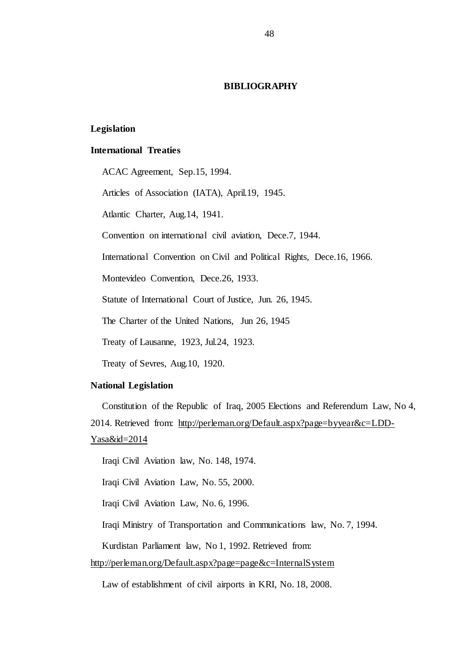#### **BIBLIOGRAPHY**

## **Legislation**

#### **International Treaties**

ACAC Agreement, Sep.15, 1994.

Articles of Association (IATA), April.19, 1945.

Atlantic Charter, Aug.14, 1941.

Convention on international civil aviation, Dece.7, 1944.

International Convention on Civil and Political Rights, Dece.16, 1966.

Montevideo Convention, Dece.26, 1933.

Statute of International Court of Justice, Jun. 26, 1945.

The Charter of the United Nations, Jun 26, 1945

Treaty of Lausanne, 1923, Jul.24, 1923.

Treaty of Sevres, Aug.10, 1920.

#### **National Legislation**

Constitution of the Republic of Iraq, 2005 Elections and Referendum Law, No 4, 2014. Retrieved from: [http://perleman.org/Default.aspx?page=byyear&c=LDD-](http://perleman.org/Default.aspx?page=byyear&c=LDD-Yasa&id=2014)[Yasa&id=2014](http://perleman.org/Default.aspx?page=byyear&c=LDD-Yasa&id=2014)

Iraqi Civil Aviation law, No. 148, 1974.

Iraqi Civil Aviation Law, No. 55, 2000.

Iraqi Civil Aviation Law, No. 6, 1996.

Iraqi Ministry of Transportation and Communications law, No. 7, 1994.

Kurdistan Parliament law, No 1, 1992. Retrieved from:

<http://perleman.org/Default.aspx?page=page&c=InternalSystem>

Law of establishment of civil airports in KRI, No. 18, 2008.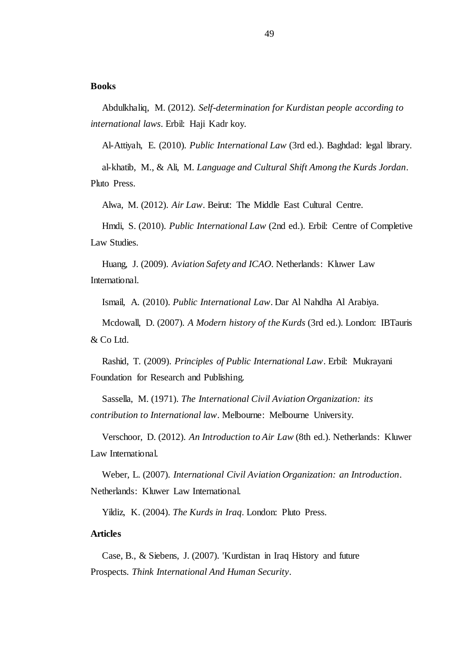#### **Books**

Abdulkhaliq, M. (2012). *Self-determination for Kurdistan people according to international laws*. Erbil: Haji Kadr koy.

Al-Attiyah, E. (2010). *Public International Law* (3rd ed.). Baghdad: legal library.

al-khatib, M., & Ali, M. *Language and Cultural Shift Among the Kurds Jordan*. Pluto Press.

Alwa, M. (2012). *Air Law*. Beirut: The Middle East Cultural Centre.

Hmdi, S. (2010). *Public International Law* (2nd ed.). Erbil: Centre of Completive Law Studies.

Huang, J. (2009). *Aviation Safety and ICAO*. Netherlands: Kluwer Law International.

Ismail, A. (2010). *Public International Law*. Dar Al Nahdha Al Arabiya.

Mcdowall, D. (2007). *A Modern history of the Kurds* (3rd ed.). London: IBTauris & Co Ltd.

Rashid, T. (2009). *Principles of Public International Law*. Erbil: Mukrayani Foundation for Research and Publishing.

Sassella, M. (1971). *The International Civil Aviation Organization: its contribution to International law*. Melbourne: Melbourne University.

Verschoor, D. (2012). *An Introduction to Air Law* (8th ed.). Netherlands: Kluwer Law International.

Weber, L. (2007). *International Civil Aviation Organization: an Introduction*. Netherlands: Kluwer Law International.

Yildiz, K. (2004). *The Kurds in Iraq*. London: Pluto Press.

### **Articles**

Case, B., & Siebens, J. (2007). 'Kurdistan in Iraq History and future Prospects. *Think International And Human Security*.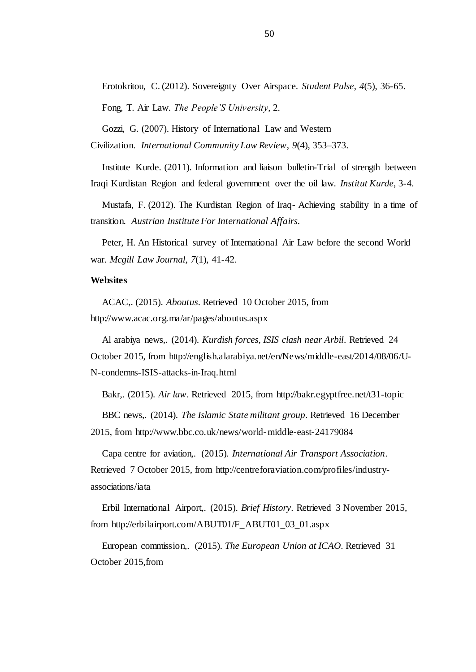Erotokritou, C. (2012). Sovereignty Over Airspace. *Student Pulse*, *4*(5), 36-65.

Fong, T. Air Law. *The People'S University*, 2.

Gozzi, G. (2007). History of International Law and Western

Civilization. *International Community Law Review*, *9*(4), 353–373.

Institute Kurde. (2011). Information and liaison bulletin-Trial of strength between Iraqi Kurdistan Region and federal government over the oil law. *Institut Kurde*, 3-4.

Mustafa, F. (2012). The Kurdistan Region of Iraq- Achieving stability in a time of transition. *Austrian Institute For International Affairs*.

Peter, H. An Historical survey of International Air Law before the second World war. *Mcgill Law Journal*, *7*(1), 41-42.

#### **Websites**

ACAC,. (2015). *Aboutus*. Retrieved 10 October 2015, from http://www.acac.org.ma/ar/pages/aboutus.aspx

Al arabiya news,. (2014). *Kurdish forces, ISIS clash near Arbil*. Retrieved 24 October 2015, from http://english.alarabiya.net/en/News/middle-east/2014/08/06/U-N-condemns-ISIS-attacks-in-Iraq.html

Bakr,. (2015). *Air law*. Retrieved 2015, from http://bakr.egyptfree.net/t31-topic

BBC news,. (2014). *The Islamic State militant group*. Retrieved 16 December 2015, from http://www.bbc.co.uk/news/world-middle-east-24179084

Capa centre for aviation,. (2015). *International Air Transport Association*. Retrieved 7 October 2015, from http://centreforaviation.com/profiles/industryassociations/iata

Erbil International Airport,. (2015). *Brief History*. Retrieved 3 November 2015, from http://erbilairport.com/ABUT01/F\_ABUT01\_03\_01.aspx

European commission,. (2015). *The European Union at ICAO*. Retrieved 31 October 2015,from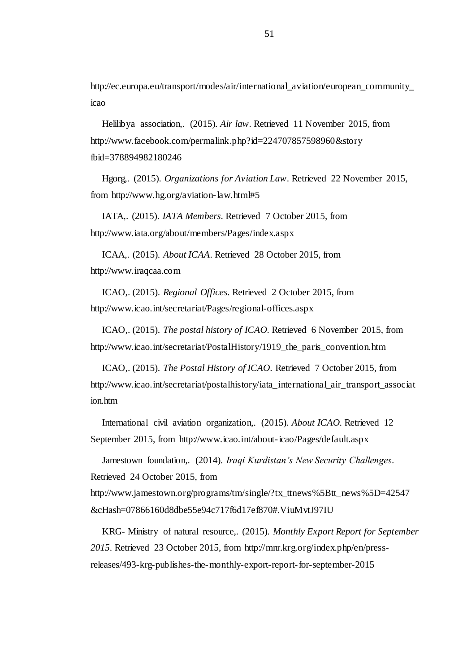http://ec.europa.eu/transport/modes/air/international\_aviation/european\_community\_ icao

Helilibya association,. (2015). *Air law*. Retrieved 11 November 2015, from http://www.facebook.com/permalink.php?id=224707857598960&story fbid=378894982180246

Hgorg,. (2015). *Organizations for Aviation Law*. Retrieved 22 November 2015, from http://www.hg.org/aviation-law.html#5

IATA,. (2015). *IATA Members*. Retrieved 7 October 2015, from http://www.iata.org/about/members/Pages/index.aspx

ICAA,. (2015). *About ICAA*. Retrieved 28 October 2015, from http://www.iraqcaa.com

ICAO,. (2015). *Regional Offices*. Retrieved 2 October 2015, from http://www.icao.int/secretariat/Pages/regional-offices.aspx

ICAO,. (2015). *The postal history of ICAO*. Retrieved 6 November 2015, from http://www.icao.int/secretariat/PostalHistory/1919\_the\_paris\_convention.htm

ICAO,. (2015). *The Postal History of ICAO*. Retrieved 7 October 2015, from http://www.icao.int/secretariat/postalhistory/iata\_international\_air\_transport\_associat ion.htm

International civil aviation organization,. (2015). *About ICAO*. Retrieved 12 September 2015, from http://www.icao.int/about-icao/Pages/default.aspx

Jamestown foundation,. (2014). *Iraqi Kurdistan's New Security Challenges*. Retrieved 24 October 2015, from

http://www.jamestown.org/programs/tm/single/?tx\_ttnews%5Btt\_news%5D=42547 &cHash=07866160d8dbe55e94c717f6d17ef870#.ViuMvtJ97IU

KRG- Ministry of natural resource,. (2015). *Monthly Export Report for September 2015*. Retrieved 23 October 2015, from http://mnr.krg.org/index.php/en/pressreleases/493-krg-publishes-the-monthly-export-report-for-september-2015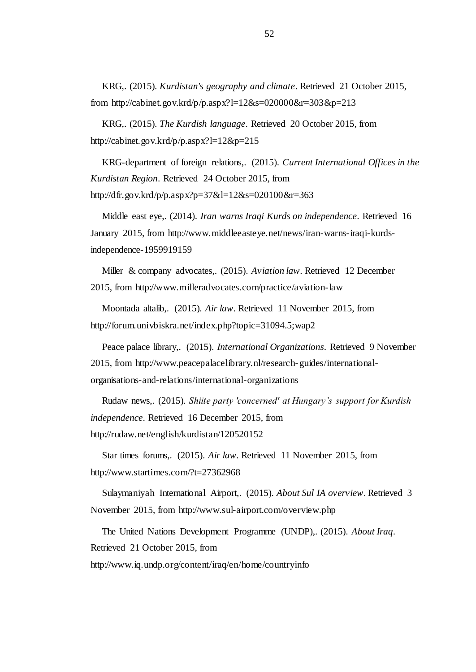KRG,. (2015). *Kurdistan's geography and climate*. Retrieved 21 October 2015, from http://cabinet.gov.krd/p/p.aspx?l=12&s=020000&r=303&p=213

KRG,. (2015). *The Kurdish language*. Retrieved 20 October 2015, from http://cabinet.gov.krd/p/p.aspx?l=12&p=215

KRG-department of foreign relations,. (2015). *Current International Offices in the Kurdistan Region*. Retrieved 24 October 2015, from http://dfr.gov.krd/p/p.aspx?p=37&l=12&s=020100&r=363

Middle east eye,. (2014). *Iran warns Iraqi Kurds on independence*. Retrieved 16 January 2015, from http://www.middleeasteye.net/news/iran-warns-iraqi-kurdsindependence-1959919159

Miller & company advocates,. (2015). *Aviation law*. Retrieved 12 December 2015, from http://www.milleradvocates.com/practice/aviation-law

Moontada altalib,. (2015). *Air law*. Retrieved 11 November 2015, from http://forum.univbiskra.net/index.php?topic=31094.5;wap2

Peace palace library,. (2015). *International Organizations*. Retrieved 9 November 2015, from http://www.peacepalacelibrary.nl/research-guides/internationalorganisations-and-relations/international-organizations

Rudaw news,. (2015). *Shiite party 'concerned' at Hungary's support for Kurdish independence*. Retrieved 16 December 2015, from http://rudaw.net/english/kurdistan/120520152

Star times forums,. (2015). *Air law*. Retrieved 11 November 2015, from http://www.startimes.com/?t=27362968

Sulaymaniyah International Airport,. (2015). *About Sul IA overview*. Retrieved 3 November 2015, from http://www.sul-airport.com/overview.php

The United Nations Development Programme (UNDP),. (2015). *About Iraq*. Retrieved 21 October 2015, from http://www.iq.undp.org/content/iraq/en/home/countryinfo